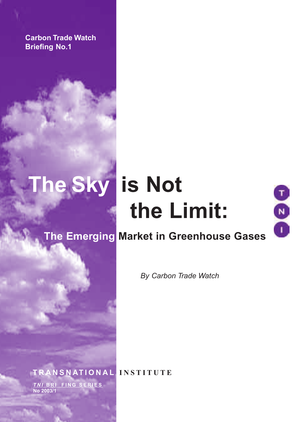**Carbon Trade Watch Briefing No.1**

# **The Sky is Not the Limit:**



## **The Emerging Market in Greenhouse Gases**

*By Carbon Trade Watch* 

**T R A N S N AT I O N A L I N S T I T U T E** *T N I* **B R I E F I N G S E R I E S No 2003/1**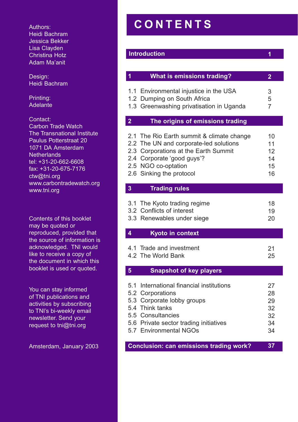Authors: Heidi Bachram Jessica Bekker Lisa Clayden Christina Hotz Adam Ma'anit

Design: Heidi Bachram

Printing: Adelante

Contact: Carbon Trade Watch The Transnational Institute Paulus Potterstraat 20 1071 DA Amsterdam **Netherlands** tel: +31-20-662-6608 fax: +31-20-675-7176 ctw@tni.org www.carbontradewatch.org www.tni.org

Contents of this booklet may be quoted or reproduced, provided that the source of information is acknowledged. TNI would like to receive a copy of the document in which this booklet is used or quoted.

You can stay informed of TNI publications and activities by subscribing to TNI's bi-weekly email newsletter. Send your request to tni@tni.org

Amsterdam, January 2003

## **C O N T E N T S**

## **Introduction**

**1**

| 1 | What is emissions trading?               |   |
|---|------------------------------------------|---|
|   | 1.1 Environmental injustice in the USA   | 3 |
|   | 1.2 Dumping on South Africa              | 5 |
|   | 1.3 Greenwashing privatisation in Uganda |   |

1.3 Greenwashing privatisation in Uganda

## **2 The origins of emissions trading**

| 2.1 The Rio Earth summit & climate change | 10 |
|-------------------------------------------|----|
| 2.2 The UN and corporate-led solutions    | 11 |
| 2.3 Corporations at the Earth Summit      | 12 |
| 2.4 Corporate 'good guys'?                | 14 |
| 2.5 NGO co-optation                       | 15 |
| 2.6 Sinking the protocol                  | 16 |

## **3 Trading rules**

| 3.1 The Kyoto trading regime | 18 |
|------------------------------|----|
| 3.2 Conflicts of interest    | 19 |
| 3.3 Renewables under siege   | 20 |

## **4 Kyoto in context**

| 4.1 Trade and investment |  |
|--------------------------|--|
| 4.2 The World Bank       |  |

## **5 Snapshot of key players**

| 5.1 International financial institutions | 27 |
|------------------------------------------|----|
| 5.2 Corporations                         | 28 |
| 5.3 Corporate lobby groups               | 29 |
| 5.4 Think tanks                          | 32 |
| 5.5 Consultancies                        | 32 |
| 5.6 Private sector trading initiatives   | 34 |
| 5.7 Environmental NGOs                   | 34 |
|                                          |    |

**Conclusion: can emissions trading work? 37**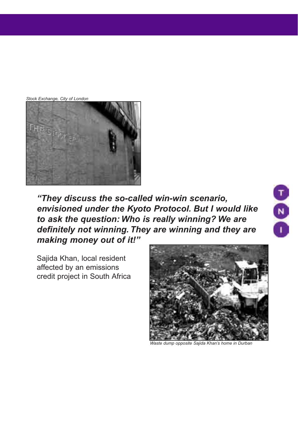*Stock Exchange, City of London*



*"They discuss the so-called win-win scenario, envisioned under the Kyoto Protocol. But I would like to ask the question: Who is really winning? We are definitely not winning. They are winning and they are making money out of it!"*

Sajida Khan, local resident affected by an emissions credit project in South Africa



88

*Waste dump opposite Sajida Khan's home in Durban*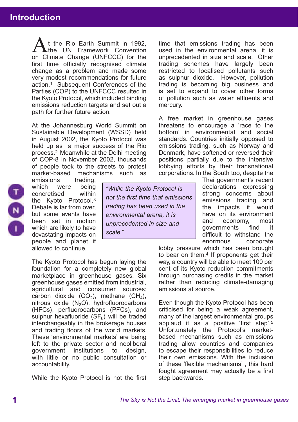## **Introduction 1. What is emissions to the internal properties of the internal properties of the internal proper**

t the Rio Earth Summit in 1992, the UN Framework Convention At the Rio Earth Summit in 1992,<br>on Climate Change (UNFCCC) for the first time officially recognised climate change as a problem and made some very modest recommendations for future action.1 Subsequent Conferences of the Parties (COP) to the UNFCCC resulted in the Kyoto Protocol, which included binding emissions reduction targets and set out a path for further future action.

At the Johannesburg World Summit on Sustainable Development (WSSD) held in August 2002, the Kyoto Protocol was held up as a major success of the Rio process.2 Meanwhile at the Delhi meeting of COP-8 in November 2002, thousands of people took to the streets to protest market-based mechanisms such as

which were being<br>concretised within concretised the Kyoto Protocol.3 Debate is far from over, but some events have been set in motion which are likely to have devastating impacts on people and planet if allowed to continue.

emissions trading,

*"While the Kyoto Protocol is not the first time that emissions trading has been used in the environmental arena, it is unprecedented in size and scale."*

The Kyoto Protocol has begun laying the foundation for a completely new global marketplace in greenhouse gases. Six greenhouse gases emitted from industrial, agricultural and consumer sources; carbon dioxide  $(CO<sub>2</sub>)$ , methane  $(CH<sub>4</sub>)$ , nitrous oxide  $(N_2O)$ , hydrofluorocarbons (HFCs), perfluorocarbons (PFCs), and sulphur hexafluoride  $(SF_6)$  will be traded interchangeably in the brokerage houses and trading floors of the world markets. These 'environmental markets' are being left to the private sector and neoliberal government institutions to design, with little or no public consultation or accountability.

While the Kyoto Protocol is not the first

time that emissions trading has been used in the environmental arena, it is unprecedented in size and scale. Other trading schemes have largely been restricted to localised pollutants such as sulphur dioxide. However, pollution trading is becoming big business and is set to expand to cover other forms of pollution such as water effluents and mercury.

A free market in greenhouse gases threatens to encourage a 'race to the bottom' in environmental and social standards. Countries initially opposed to emissions trading, such as Norway and Denmark, have softened or reversed their positions partially due to the intensive lobbying efforts by their transnational corporations. In the South too, despite the

Thai government's recent declarations expressing strong concerns about emissions trading and the impacts it would have on its environment and economy, most governments find it difficult to withstand the enormous corporate

lobby pressure which has been brought to bear on them.4 If proponents get their way, a country will be able to meet 100 per cent of its Kyoto reduction commitments through purchasing credits in the market rather than reducing climate-damaging emissions at source.

Even though the Kyoto Protocol has been criticised for being a weak agreement, many of the largest environmental groups applaud it as a positive 'first step'.5 Unfortunately the Protocol's marketbased mechanisms such as emissions trading allow countries and companies to escape their responsibilities to reduce their own emissions. With the inclusion of these 'flexible mechanisms' , this hard fought agreement may actually be a first step backwards.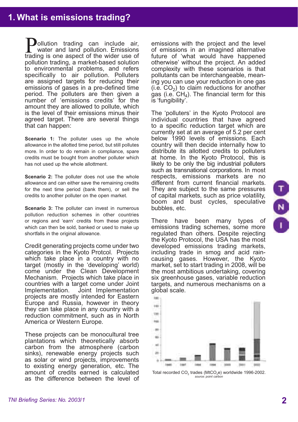ollution trading can include air, water and land pollution. Emissions **D**ollution trading can include air, water and land pollution. Emissions trading is one aspect of the wider use of pollution trading, a market-based solution to environmental problems, and refers specifically to air pollution. Polluters are assigned targets for reducing their emissions of gases in a pre-defined time period. The polluters are then given a number of 'emissions credits' for the amount they are allowed to pollute, which is the level of their emissions minus their agreed target. There are several things that can happen:

**Scenario 1:** The polluter uses up the whole allowance in the allotted time period, but still pollutes more. In order to do remain in compliance, spare credits must be bought from another polluter which has not used up the whole allottment.

**Scenario 2:** The polluter does not use the whole allowance and can either save the remaining credits for the next time period (bank them), or sell the credits to another polluter on the open market.

**Scenario 3:** The polluter can invest in numerous pollution reduction schemes in other countries or regions and 'earn' credits from these projects which can then be sold, banked or used to make up shortfalls in the original allowance.

Credit generating projects come under two categories in the Kyoto Protcol. Projects which take place in a country with no target (mostly in the 'developing' world) come under the Clean Development Mechanism. Projects which take place in countries with a target come under Joint Joint Implementation. projects are mostly intended for Eastern Europe and Russia, however in theory they can take place in any country with a reduction commitment, such as in North America or Western Europe.

These projects can be monocultural tree plantations which theoretically absorb carbon from the atmosphere (carbon sinks), renewable energy projects such as solar or wind projects, improvements to existing energy generation, etc. The amount of credits earned is calculated as the difference between the level of emissions with the project and the level of emissions in an imagined alternative future of 'what would have happened otherwise' without the project. An added complexity with these scenarios is that pollutants can be interchangeable, meaning you can use your reduction in one gas (i.e.  $CO<sub>2</sub>$ ) to claim reductions for another gas (i.e.  $CH<sub>4</sub>$ ). The financial term for this is 'fungibility'.

The 'polluters' in the Kyoto Protocol are individual countries that have agreed to a specific reduction target which are currently set at an average of 5.2 per cent below 1990 levels of emissions. Each country will then decide internally how to distribute its allotted credits to polluters at home. In the Kyoto Protocol, this is likely to be only the big industrial polluters such as transnational corporations. In most respects, emissions markets are no different from current financial markets. They are subject to the same pressures of capital markets, such as price volatility, boom and bust cycles, speculative bubbles, etc.

There have been many types of emissions trading schemes, some more regulated than others. Despite rejecting the Kyoto Protocol, the USA has the most developed emissions trading markets, including trade in smog and acid raincausing gases. However, the Kyoto market, set to start trading in 2008, will be the most ambitious undertaking, covering six greenhouse gases, variable reduction targets, and numerous mechanisms on a global scale.



Total recorded CO<sub>2</sub> trades (MtCO<sub>2</sub>e) worldwide 1996-2002. source: point carb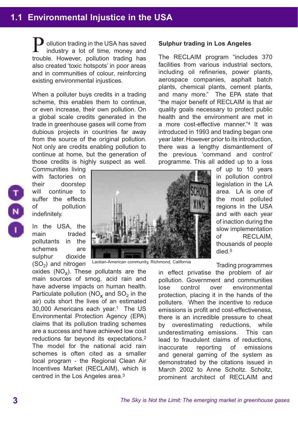## **1.1 Environmental Injustice in the USA**

ollution trading in the USA has saved industry a lot of time, money and **D** ollution trading in the USA has saved<br>industry a lot of time, money and<br>trouble. However, pollution trading has also created 'toxic hotspots' in poor areas and in communities of colour, reinforcing existing environmental injustices.

When a polluter buys credits in a trading scheme, this enables them to continue, or even increase, their own pollution. On a global scale credits generated in the trade in greenhouse gases will come from dubious projects in countries far away from the source of the original pollution. Not only are credits enabling pollution to continue at home, but the generation of those credits is highly suspect as well.

Communities living with factories on their doorstep will continue to suffer the effects of pollution indefinitely.

In the USA, the main traded pollutants in the schemes are sulphur dioxide  $(SO<sub>2</sub>)$  and nitrogen

oxides  $(NO<sub>x</sub>)$ . These pollutants are the main sources of smog, acid rain and have adverse impacts on human health. Particulate pollution ( $NO<sub>x</sub>$  and  $SO<sub>2</sub>$  in the air) cuts short the lives of an estimated 30,000 Americans each year.1 The US Environmental Protection Agency (EPA) claims that its pollution trading schemes are a success and have achieved low cost reductions far beyond its expectations.2 The model for the national acid rain schemes is often cited as a smaller local program - the Regional Clean Air Incentives Market (RECLAIM), which is centred in the Los Angeles area.3



Laotian-American community, Richmond, California

#### **Sulphur trading in Los Angeles**

The RECLAIM program "includes 370 facilities from various industrial sectors, including oil refineries, power plants, aerospace companies, asphalt batch plants, chemical plants, cement plants, and many more." The EPA state that "the major benefit of RECLAIM is that air quality goals necessary to protect public health and the environment are met in a more cost-effective manner."4 It was introduced in 1993 and trading began one year later. However prior to its introduction, there was a lengthy dismantlement of the previous 'command and control' programme. This all added up to a loss

> of up to 10 years in pollution control legislation in the LA area. LA is one of the most polluted regions in the USA and with each year of inaction during the slow implementation of RECLAIM, thousands of people died.5

Trading programmes

in effect privatise the problem of air pollution. Government and communities lose control over environmental protection, placing it in the hands of the polluters. When the incentive to reduce emissions is profit and cost-effectiveness, there is an incredible pressure to cheat by overestimating reductions, while underestimating emissions. This can lead to fraudulent claims of reductions, inaccurate reporting of emissions and general gaming of the system as demonstrated by the citations issued in March 2002 to Anne Scholtz. Scholtz, prominent architect of RECLAIM and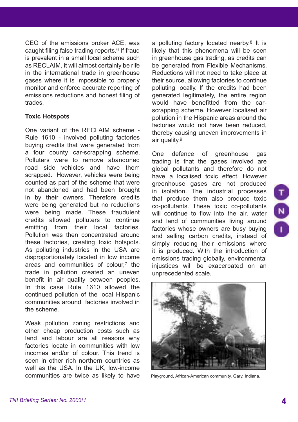CEO of the emissions broker ACE, was caught filing false trading reports.6 If fraud is prevalent in a small local scheme such as RECLAIM, it will almost certainly be rife in the international trade in greenhouse gases where it is impossible to properly monitor and enforce accurate reporting of emissions reductions and honest filing of trades.

#### **Toxic Hotspots**

One variant of the RECLAIM scheme - Rule 1610 - involved polluting factories buying credits that were generated from a four county car-scrapping scheme. Polluters were to remove abandoned road side vehicles and have them scrapped. However, vehicles were being counted as part of the scheme that were not abandoned and had been brought in by their owners. Therefore credits were being generated but no reductions were being made. These fraudulent credits allowed polluters to continue emitting from their local factories. Pollution was then concentrated around these factories, creating toxic hotspots. As polluting industries in the USA are disproportionately located in low income areas and communities of colour,7 the trade in pollution created an uneven benefit in air quality between peoples. In this case Rule 1610 allowed the continued pollution of the local Hispanic communities around factories involved in the scheme.

Weak pollution zoning restrictions and other cheap production costs such as land and labour are all reasons why factories locate in communities with low incomes and/or of colour. This trend is seen in other rich northern countries as well as the USA. In the UK, low-income communities are twice as likely to have

a polluting factory located nearby.8 It is likely that this phenomena will be seen in greenhouse gas trading, as credits can be generated from Flexible Mechanisms. Reductions will not need to take place at their source, allowing factories to continue polluting locally. If the credits had been generated legitimately, the entire region would have benefitted from the carscrapping scheme. However localised air pollution in the Hispanic areas around the factories would not have been reduced thereby causing uneven improvements in air quality.9

One defence of greenhouse gas trading is that the gases involved are global pollutants and therefore do not have a localised toxic effect. However greenhouse gases are not produced in isolation. The industrial processes that produce them also produce toxic co-pollutants. These toxic co-pollutants will continue to flow into the air, water and land of communities living around factories whose owners are busy buying and selling carbon credits, instead of simply reducing their emissions where it is produced. With the introduction of emissions trading globally, environmental injustices will be exacerbated on an unprecedented scale.



Playground, African-American community, Gary, Indiana.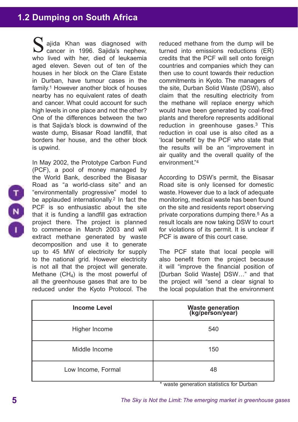## **1.2 Dumping on South Africa**

ajida Khan was diagnosed with S ajida Khan was diagnosed with<br>
cancer in 1996. Sajida's nephew, who lived with her, died of leukaemia aged eleven. Seven out of ten of the houses in her block on the Clare Estate in Durban, have tumour cases in the family.1 However another block of houses nearby has no equivalent rates of death and cancer. What could account for such high levels in one place and not the other? One of the differences between the two is that Sajida's block is downwind of the waste dump, Bisasar Road landfill, that borders her house, and the other block is upwind.

In May 2002, the Prototype Carbon Fund (PCF), a pool of money managed by the World Bank, described the Bisasar Road as "a world-class site" and an "environmentally progressive" model to be applauded internationally.<sup>2</sup> In fact the PCF is so enthusiastic about the site that it is funding a landfill gas extraction project there. The project is planned to commence in March 2003 and will extract methane generated by waste decomposition and use it to generate up to 45 MW of electricity for supply to the national grid. However electricity is not all that the project will generate. Methane  $(CH_4)$  is the most powerful of all the greenhouse gases that are to be reduced under the Kyoto Protocol. The

reduced methane from the dump will be turned into emissions reductions (ER) credits that the PCF will sell onto foreign countries and companies which they can then use to count towards their reduction commitments in Kyoto. The managers of the site, Durban Solid Waste (DSW), also claim that the resulting electricity from the methane will replace energy which would have been generated by coal-fired plants and therefore represents additional reduction in greenhouse gases.3 This reduction in coal use is also cited as a 'local benefit' by the PCF who state that the results will be an "improvement in air quality and the overall quality of the environment."4

According to DSW's permit, the Bisasar Road site is only licensed for domestic waste. However due to a lack of adequate monitoring, medical waste has been found on the site and residents report observing private corporations dumping there.5 As a result locals are now taking DSW to court for violations of its permit. It is unclear if PCF is aware of this court case.

The PCF state that local people will also benefit from the project because it will "improve the financial position of [Durban Solid Waste] DSW…" and that the project will "send a clear signal to the local population that the environment

| <b>Income Level</b> | Waste generation<br>(kg/person/year) |
|---------------------|--------------------------------------|
| Higher Income       | 540                                  |
| Middle Income       | 150                                  |
| Low Income, Formal  | 48                                   |

\* waste generation statistics for Durban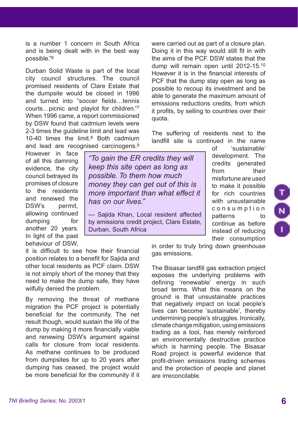is a number 1 concern in South Africa and is being dealt with in the best way possible."6

Durban Solid Waste is part of the local city council structures. The council promised residents of Clare Estate that the dumpsite would be closed in 1996 and turned into "soccer fields…tennis courts…picnic and playlot for children."7 When 1996 came, a report commissioned by DSW found that cadmium levels were 2-3 times the guideline limit and lead was 10-40 times the limit.8 Both cadmium and lead are recognised carcinogens.9

However in face of all this damning evidence, the city council betrayed its promises of closure to the residents and renewed the DSW's permit, allowing continued dumping for another 20 years. In light of the past behaviour of DSW,

*"To gain the ER credits they will keep this site open as long as possible. To them how much money they can get out of this is more important than what effect it has on our lives."*

— Sajida Khan, Local resident affected by emissions credit project, Clare Estate, Durban, South Africa

it is difficult to see how their financial position relates to a benefit for Sajida and other local residents as PCF claim. DSW is not simply short of the money that they need to make the dump safe, they have wilfully denied the problem.

By removing the threat of methane migration the PCF project is potentially beneficial for the community. The net result though, would sustain the life of the dump by making it more financially viable and renewing DSW's argument against calls for closure from local residents. As methane continues to be produced from dumpsites for up to 20 years after dumping has ceased, the project would be more beneficial for the community if it were carried out as part of a closure plan. Doing it in this way would still fit in with the aims of the PCF. DSW states that the dump will remain open until 2012-15.10 However it is in the financial interests of PCF that the dump stay open as long as possible to recoup its investment and be able to generate the maximum amount of emissions reductions credits, from which it profits, by selling to countries over their quota.

The suffering of residents next to the landfill site is continued in the name

> of 'sustainable' development. The credits generated from their misfortune are used to make it possible for rich countries with unsustainable c o n s u m p t i o n patterns to continue as before instead of reducing their consumption

in order to truly bring down greenhouse gas emissions.

The Bisasar landfill gas extraction project exposes the underlying problems with defining 'renewable' energy in such broad terms. What this means on the ground is that unsustainable practices that negatively impact on local people's lives can become 'sustainable', thereby undermining people's struggles. Ironically, climate change mitigation, using emissions trading as a tool, has merely reinforced an environmentally destructive practice which is harming people. The Bisasar Road project is powerful evidence that profit-driven emissions trading schemes and the protection of people and planet are irreconcilable.

 $(z)$ 

**6**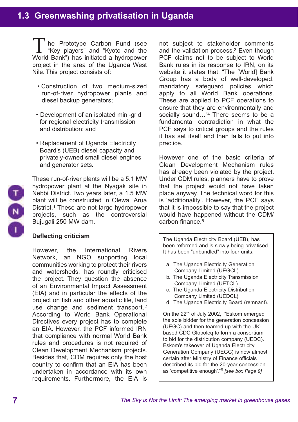he Prototype Carbon Fund (see "Key players" and "Kyoto and the The Prototype Carbon Fund (see<br>
"Key players" and "Kyoto and the<br>
World Bank") has initiated a hydropower project in the area of the Uganda West Nile. This project consists of:

- Construction of two medium-sized run-of-river hydropower plants and diesel backup generators;
- Development of an isolated mini-grid for regional electricity transmission and distribution; and
- Replacement of Uganda Electricity Board's (UEB) diesel capacity and privately-owned small diesel engines and generator sets.



These run-of-river plants will be a 5.1 MW hydropower plant at the Nyagak site in Nebbi District. Two years later, a 1.5 MW plant will be constructed in Olewa, Arua District.1 These are not large hydropower projects, such as the controversial Bujugali 250 MW dam.

## **Deflecting criticism**

However, the International Rivers Network, an NGO supporting local communities working to protect their rivers and watersheds, has roundly criticised the project. They question the absence of an Environmental Impact Assessment (EIA) and in particular the effects of the project on fish and other aquatic life, land use change and sediment transport.2 According to World Bank Operational Directives every project has to complete an EIA. However, the PCF informed IRN that compliance with normal World Bank rules and procedures is not required of Clean Development Mechanism projects. Besides that, CDM requires only the host country to confirm that an EIA has been undertaken in accordance with its own requirements. Furthermore, the EIA is

not subject to stakeholder comments and the validation process.3 Even though PCF claims not to be subject to World Bank rules in its response to IRN, on its website it states that: "The [World] Bank Group has a body of well-developed, mandatory safeguard policies which apply to all World Bank operations. These are applied to PCF operations to ensure that they are environmentally and socially sound…"4 There seems to be a fundamental contradiction in what the PCF says to critical groups and the rules it has set itself and then fails to put into practice.

However one of the basic criteria of Clean Development Mechanism rules has already been violated by the project. Under CDM rules, planners have to prove that the project would not have taken place anyway. The technical word for this is 'additionality'. However, the PCF says that it is impossible to say that the project would have happened without the CDM/ carbon finance.5

The Uganda Electricity Board (UEB), has been reformed and is slowly being privatised. It has been "unbundled" into four units:

- a. The Uganda Electricity Generation Company Limited (UEGCL)
- b. The Uganda Electricity Transmission Company Limited (UETCL)
- c. The Uganda Electricity Distribution Company Limited (UEDCL)
- d. The Uganda Electricity Board (remnant).

On the 22th of July 2002, "Eskom emerged the sole bidder for the generation concession (UEGC) and then teamed up with the UKbased CDC Globoleq to form a consortium to bid for the distribution company (UEDC). Eskom's takeover of Uganda Electricity Generation Company (UEGC) is now almost certain after Ministry of Finance officials described its bid for the 20-year concession as 'competitive enough'."6 *[see box Page 9]*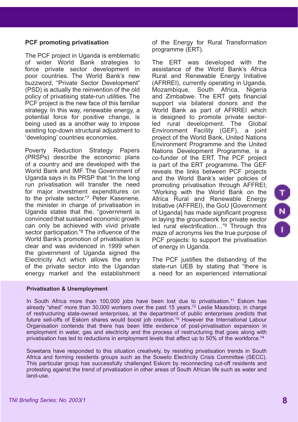## **PCF promoting privatisation**

The PCF project in Uganda is emblematic of wider World Bank strategies to force private sector development in poor countries. The World Bank's new buzzword, "Private Sector Development" (PSD) is actually the reinvention of the old policy of privatising state-run utilities. The PCF project is the new face of this familiar strategy. In this way, renewable energy, a potential force for positive change, is being used as a another way to impose existing top-down structural adjustment to 'developing' countries economies.

Poverty Reduction Strategy Papers (PRSPs) describe the economic plans of a country and are developed with the World Bank and IMF. The Government of Uganda says in its PRSP that "In the long run privatisation will transfer the need for major investment expenditures on to the private sector."7 Peter Kasenene, the minister in charge of privatisation in Uganda states that the, "government is convinced that sustained economic growth can only be achieved with vivid private sector participation."<sup>8</sup> The influence of the World Bank's promotion of privatisation is clear and was evidenced in 1999 when the government of Uganda signed the Electricity Act which allows the entry of the private sector into the Ugandan energy market and the establishment

of the Energy for Rural Transformation programme (ERT).

The ERT was developed with the assistance of the World Bank's Africa Rural and Renewable Energy Initiative (AFRREI), currently operating in Uganda, Mozambique, South Africa, Nigeria and Zimbabwe. The ERT gets financial support via bilateral donors and the World Bank as part of AFRREI which is designed to promote private sectorled rural development. The Global Environment Facility (GEF), a joint project of the World Bank, United Nations Environment Programme and the United Nations Development Programme, is a co-funder of the ERT. The PCF project is part of the ERT programme. The GEF reveals the links between PCF projects and the World Bank's wider policies of promoting privatisation through AFFREI; "Working with the World Bank on the Africa Rural and Renewable Energy Initiative (AFFREI), the GoU [Government of Uganda] has made significant progress in laying the groundwork for private sector led rural electrification…"9 Through this maze of acronyms lies the true purpose of PCF projects: to support the privatisation of energy in Uganda.

The PCF justifies the disbanding of the state-run UEB by stating that "there is a need for an experienced international

#### **Privatisation & Unemployment**

In South Africa more than 100,000 jobs have been lost due to privatisation.<sup>11</sup> Eskom has already "shed" more than  $30,000$  workers over the past 15 years.<sup>12</sup> Leslie Maasdorp, in charge of restructuring state-owned enterprises, at the department of public enterprises predicts that future sell-offs of Eskom shares would boost job creation.13 However the International Labour Organisation contends that there has been little evidence of post-privatisation expansion in employment in water, gas and electricity and the process of restructuring that goes along with privatisation has led to reductions in employment levels that affect up to 50% of the workforce.<sup>14</sup>

Sowetans have responded to this situation creatively, by resisting privatisation trends in South Africa and forming residents groups such as the Soweto Electricity Crisis Committee (SECC). This particular group has successfully challenged Eskom by reconnecting cut-off residents and protesting against the trend of privatisation in other areas of South African life such as water and land-use.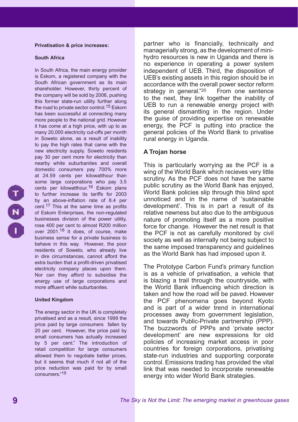#### **Privatisation & price increases:**

#### **South Africa**

In South Africa, the main energy provider is Eskom, a registered company with the South African government as its main shareholder. However, thirty percent of the company will be sold by 2006, pushing this former state-run utility further along the road to private sector control.<sup>15</sup> Eskom has been successful at connecting many more people to the national grid. However it has come at a high price, with up to as many 20,000 electricity cut-offs per month in Soweto alone, as a result of inability to pay the high rates that came with the new electricity supply. Soweto residents pay 30 per cent more for electricity than nearby white suburbanites and overall domestic consumers pay 700% more at 24.59 cents per kilowatthour than some large corporations who pay 3.5 cents per kilowatthour.<sup>16</sup> Eskom plans to further increase its tariffs for 2003 by an above-inflation rate of 8.4 per cent.17 This at the same time as profits of Eskom Enterprises, the non-regulated businesses division of the power utility, rose 400 per cent to almost R200 million over 2001.<sup>18</sup> It does, of course, make business sense for a private business to behave in this way. However, the poor residents of Soweto, who already live in dire circumstances, cannot afford the extra burden that a profit-driven privatised electricity company places upon them. Nor can they afford to subsidise the energy use of large corporations and more affluent white suburbanites.

#### **United Kingdom**

The energy sector in the UK is completely privatised and as a result, since 1999 the price paid by large consumers fallen by 20 per cent. However, the price paid by small consumers has actually increased by 5 per cent." The introduction of retail competition for large consumers allowed them to negotiate better prices, but it seems that much if not all of the price reduction was paid for by small consumers."19

partner who is financially, technically and managerially strong, as the development of minihydro resources is new in Uganda and there is no experience in operating a power system independent of UEB. Third, the disposition of UEB's existing assets in this region should be in accordance with the overall power sector reform strategy in general."<sup>20</sup> From one sentence to the next, they link together the inability of UEB to run a renewable energy project with its general dismantling in the region. Under the guise of providing expertise on renewable energy, the PCF is putting into practice the general policies of the World Bank to privatise rural energy in Uganda.

#### **A Trojan horse**

This is particularly worrying as the PCF is a wing of the World Bank which recieves very little scrutiny. As the PCF does not have the same public scrutiny as the World Bank has enjoyed, World Bank policies slip through this blind spot unnoticed and in the name of 'sustainable development'. This is in part a result of its relative newness but also due to the ambiguous nature of promoting itself as a more positive force for change. However the net result is that the PCF is not as carefully monitored by civil society as well as internally not being subject to the same imposed transparency and guidelines as the World Bank has had imposed upon it.

The Prototype Carbon Fund's primary function is as a vehicle of privatisation, a vehicle that is blazing a trail through the countryside, with the World Bank influencing which direction is taken and how the road will be paved. However the PCF phenomena goes beyond Kyoto and is part of a wider trend in international processes away from government legislation, and towards Public-Private partnership (PPP). The buzzwords of PPPs and 'private sector development' are new expressions for old policies of increasing market access in poor countries for foreign corporations, privatising state-run industries and supporting corporate control. Emissions trading has provided the vital link that was needed to incorporate renewable energy into wider World Bank strategies.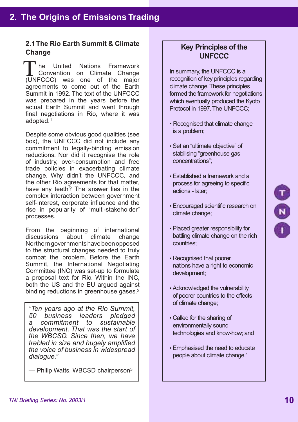## **2.1 The Rio Earth Summit & Climate Change**

he United Nations Framework Convention on Climate Change The United Nations Framework<br>
Convention on Climate Change<br>
(UNFCCC) was one of the major agreements to come out of the Earth Summit in 1992. The text of the UNFCCC was prepared in the years before the actual Earth Summit and went through final negotiations in Rio, where it was adopted.1

Despite some obvious good qualities (see box), the UNFCCC did not include any commitment to legally-binding emission reductions. Nor did it recognise the role of industry, over-consumption and free trade policies in exacerbating climate change. Why didn't the UNFCCC, and the other Rio agreements for that matter, have any teeth? The answer lies in the complex interaction between government self-interest, corporate influence and the rise in popularity of "multi-stakeholder" processes.

From the beginning of international<br>discussions about climate change discussions about climate change Northern governments have been opposed to the structural changes needed to truly combat the problem. Before the Earth Summit, the International Negotiating Committee (INC) was set-up to formulate a proposal text for Rio. Within the INC, both the US and the EU argued against binding reductions in greenhouse gases.<sup>2</sup>

*"Ten years ago at the Rio Summit, 50 business leaders pledged a* commitment to *development. That was the start of the WBCSD. Since then, we have trebled in size and hugely amplified the voice of business in widespread dialogue."*

— Philip Watts, WBCSD chairperson3

## **Key Principles of the UNFCCC**

In summary, the UNFCCC is a recognition of key principles regarding climate change. These principles formed the framework for negotiations which eventually produced the Kyoto Protocol in 1997. The UNFCCC;

- Recognised that climate change is a problem;
- Set an "ultimate objective" of stabilising "greenhouse gas concentrations";
- Established a framework and a process for agreeing to specific actions - later;
- Encouraged scientific research on climate change;
- Placed greater responsibility for battling climate change on the rich countries;
- Recognised that poorer nations have a right to economic development;
- Acknowledged the vulnerability of poorer countries to the effects of climate change;
- Called for the sharing of environmentally sound technologies and know-how; and
- Emphasised the need to educate people about climate change.4

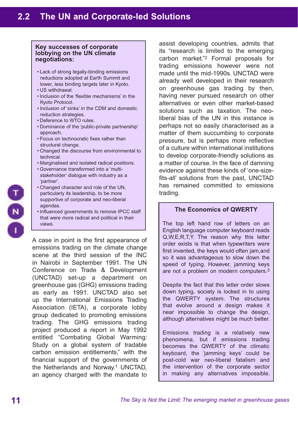#### **Key successes of corporate lobbying on the UN climate negotiations:**

- Lack of strong legally-binding emissions reductions adopted at Earth Summit and lower, less binding targets later in Kyoto.
- US withdrawal.
- Inclusion of the 'flexible mechanisms' in the Kyoto Protocol.
- Inclusion of 'sinks' in the CDM and domestic reduction strategies.
- Deference to WTO rules.
- Dominance of the 'public-private partnership' approach.
- Focus on technocratic fixes rather than structural change.
- Changed the discourse from environmental to technical.
- Marginalised and isolated radical positions.
- Governance transformed into a 'multi stakeholder' dialogue with industry as a 'partner'.
- Changed character and role of the UN, particularly its leadership, to be more supportive of corporate and neo-liberal agendas.
- Influenced governments to remove IPCC staff that were more radical and political in their views.

A case in point is the first appearance of emissions trading on the climate change scene at the third session of the INC in Nairobi in September 1991. The UN Conference on Trade & Development (UNCTAD) set-up a department on greenhouse gas (GHG) emissions trading as early as 1991. UNCTAD also set up the International Emissions Trading Association (IETA), a corporate lobby group dedicated to promoting emissions trading. The GHG emissions trading project produced a report in May 1992 entitled "Combating Global Warming: Study on a global system of tradable carbon emission entitlements," with the financial support of the governments of the Netherlands and Norway.1 UNCTAD, an agency charged with the mandate to

assist developing countries, admits that its "research is limited to the emerging carbon market."2 Formal proposals for trading emissions however were not made until the mid-1990s. UNCTAD were already well developed in their research on greenhouse gas trading by then, having never pursued research on other alternatives or even other market-based solutions such as taxation. The neoliberal bias of the UN in this instance is perhaps not so easily characterised as a matter of them succumbing to corporate pressure, but is perhaps more reflective of a culture within international institutions to develop corporate-friendly solutions as a matter of course. In the face of damning evidence against these kinds of 'one-sizefits-all' solutions from the past, UNCTAD has remained committed to emissions trading.

#### **The Economics of QWERTY**

The top left hand row of letters on an English language computer keyboard reads Q,W,E,R,T,Y. The reason why this letter order exists is that when typewriters were first invented, the keys would often jam,and so it was advantageous to slow down the speed of typing. However, jamming keys are not a problem on modern computers.3

Despite the fact that this letter order slows down typing, society is locked in to using the QWERTY system. The structures that evolve around a design makes it near impossible to change the design, although alternatives might be much better.

Emissions trading is a relatively new phenomena, but if emissions trading becomes the QWERTY of the climatic keyboard, the 'jamming keys' could be post-cold war neo-liberal fatalism and the intervention of the corporate sector in making any alternatives impossible.

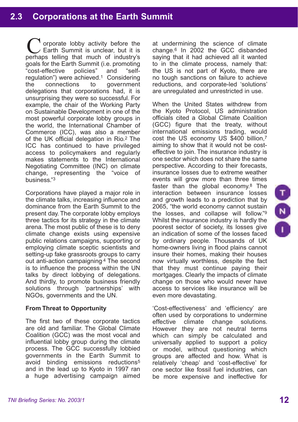orporate lobby activity before the Earth Summit is unclear, but it is Corporate lobby activity before the Earth Summit is unclear, but it is perhaps telling that much of industry's goals for the Earth Summit (i.e. promoting "cost-effective policies" and "selfregulation") were achieved.<sup>1</sup> Considering<br>the connections to government the connections to government delegations that corporations had, it is unsurprising they were so successful. For example, the chair of the Working Party on Sustainable Development in one of the most powerful corporate lobby groups in the world, the International Chamber of Commerce (ICC), was also a member of the UK official delegation in Rio.2 The ICC has continued to have privileged access to policymakers and regularly makes statements to the International Negotiating Committee (INC) on climate change, representing the "voice of business."3

Corporations have played a major role in the climate talks, increasing influence and dominance from the Earth Summit to the present day. The corporate lobby employs three tactics for its strategy in the climate arena. The most public of these is to deny climate change exists using expensive public relations campaigns, supporting or employing climate sceptic scientists and setting-up fake grassroots groups to carry out anti-action campaigning.4 The second is to influence the process within the UN talks by direct lobbying of delegations. And thirdly, to promote business friendly solutions through 'partnerships' with NGOs, governments and the UN.

## **From Threat to Opportunity**

The first two of these corporate tactics are old and familiar. The Global Climate Coalition (GCC) was the most vocal and influential lobby group during the climate process. The GCC successfully lobbied governments in the Earth Summit to avoid binding emissions reductions<sup>5</sup> and in the lead up to Kyoto in 1997 ran a huge advertising campaign aimed at undermining the science of climate change.6 In 2002 the GCC disbanded saying that it had achieved all it wanted to in the climate process, namely that: the US is not part of Kyoto, there are no tough sanctions on failure to achieve reductions, and corporate-led 'solutions' are unregulated and unrestricted in use.

When the United States withdrew from the Kyoto Protocol, US administration officials cited a Global Climate Coalition (GCC) figure that the treaty, without international emissions trading, would cost the US economy US \$400 billion,7 aiming to show that it would not be costeffective to join. The insurance industry is one sector which does not share the same perspective. According to their forecasts, insurance losses due to extreme weather events will grow more than three times faster than the global economy. $8$  The interaction between insurance losses and growth leads to a prediction that by 2065, "the world economy cannot sustain the losses, and collapse will follow."9 Whilst the insurance industry is hardly the poorest sector of society, its losses give an indication of some of the losses faced by ordinary people. Thousands of UK home-owners living in flood plains cannot insure their homes, making their houses now virtually worthless, despite the fact that they must continue paying their mortgages. Clearly the impacts of climate change on those who would never have access to services like insurance will be even more devastating.

'Cost-effectiveness' and 'efficiency' are often used by corporations to undermine effective climate change solutions. However they are not neutral terms which can simply be calculated and universally applied to support a policy or model, without questioning which groups are affected and how. What is relatively 'cheap' and 'cost-effective' for one sector like fossil fuel industries, can be more expensive and ineffective for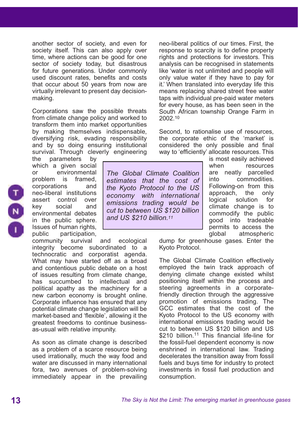another sector of society, and even for society itself. This can also apply over time, where actions can be good for one sector of society today, but disastrous for future generations. Under commonly used discount rates, benefits and costs that occur about 50 years from now are virtually irrelevant to present day decisionmaking.

Corporations saw the possible threats from climate change policy and worked to transform them into market opportunities by making themselves indispensable, diversifying risk, evading responsibility and by so doing ensuring institutional survival. Through cleverly engineering

the parameters by which a given social or environmental problem is framed, corporations and neo-liberal institutions assert control over key social and environmental debates in the public sphere. Issues of human rights, public participation,

community survival and ecological integrity become subordinated to a technocratic and corporatist agenda. What may have started off as a broad and contentious public debate on a host of issues resulting from climate change, has succumbed to intellectual and political apathy as the machinery for a new carbon economy is brought online. Corporate influence has ensured that any potential climate change legislation will be market-based and 'flexible', allowing it the greatest freedoms to continue businessas-usual with relative impunity.

As soon as climate change is described as a problem of a scarce resource being used irrationally, much the way food and water are discussed in many international fora, two avenues of problem-solving immediately appear in the prevailing

neo-liberal politics of our times. First, the response to scarcity is to define property rights and protections for investors. This analysis can be recognised in statements like 'water is not unlimited and people will only value water if they have to pay for it.' When translated into everyday life this means replacing shared street free water taps with individual pre-paid water meters for every house, as has been seen in the South African township Orange Farm in 2002.10

Second, to rationalise use of resources, the corporate ethic of the 'market' is considered the only possible and final way to 'efficiently' allocate resources. This

*The Global Climate Coalition estimates that the cost of the Kyoto Protocol to the US economy with international emissions trading would be cut to between US \$120 billion and US \$210 billion.11*

is most easily achieved when resources are neatly parcelled into commodities. Following-on from this approach, the only logical solution for climate change is to commodify the public good into tradeable permits to access the global atmospheric

dump for greenhouse gases. Enter the Kyoto Protocol.

The Global Climate Coalition effectively employed the twin track approach of denying climate change existed whilst positioning itself within the process and steering agreements in a corporatefriendly direction through the aggressive promotion of emissions trading. The GCC estimates that the cost of the Kyoto Protocol to the US economy with international emissions trading would be cut to between US \$120 billion and US \$210 billion.<sup>11</sup> This financial life-line for the fossil-fuel dependent economy is now enshrined in international law. Trading decelerates the transition away from fossil fuels and buys time for industry to protect investments in fossil fuel production and consumption.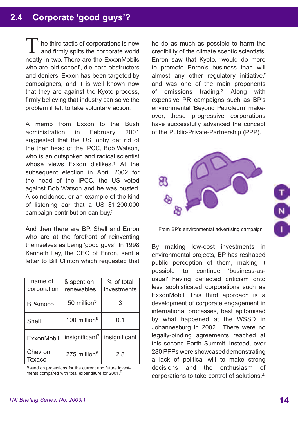## **2.4 Corporate 'good guys'?**

he third tactic of corporations is new and firmly splits the corporate world neatly in two. There are the ExxonMobils who are 'old-school', die-hard obstructers and deniers. Exxon has been targeted by campaigners, and it is well known now that they are against the Kyoto process, firmly believing that industry can solve the problem if left to take voluntary action. T

A memo from Exxon to the Bush administration in February 2001 suggested that the US lobby get rid of the then head of the IPCC, Bob Watson, who is an outspoken and radical scientist whose views Exxon dislikes.<sup>1</sup> At the subsequent election in April 2002 for the head of the IPCC, the US voted against Bob Watson and he was ousted. A coincidence, or an example of the kind of listening ear that a US \$1,200,000 campaign contribution can buy.2

And then there are BP, Shell and Enron who are at the forefront of reinventing themselves as being 'good guys'. In 1998 Kenneth Lay, the CEO of Enron, sent a letter to Bill Clinton which requested that

| name of<br>corporation | \$ spent on<br>renewables  | % of total<br>investments |
|------------------------|----------------------------|---------------------------|
| <b>BPAmoco</b>         | 50 million <sup>5</sup>    |                           |
| Shell                  | 100 million <sup>6</sup>   | 0.1                       |
| ExxonMobil             | insignificant <sup>7</sup> | insignificant             |
| Chevron<br>Texaco      | 275 million <sup>8</sup>   | 2.8                       |

Based on projections for the current and future investments compared with total expenditure for 2001.<sup>9</sup>

he do as much as possible to harm the credibility of the climate sceptic scientists. Enron saw that Kyoto, "would do more to promote Enron's business than will almost any other regulatory initiative," and was one of the main proponents of emissions trading.3 Along with expensive PR campaigns such as BP's environmental 'Beyond Petroleum' makeover, these 'progressive' corporations have successfully advanced the concept of the Public-Private-Partnership (PPP).



From BP's environmental advertising campaign

By making low-cost investments in environmental projects, BP has reshaped public perception of them, making it possible to continue 'business-asusual' having deflected criticism onto less sophisticated corporations such as ExxonMobil. This third approach is a development of corporate engagement in international processes, best epitomised by what happened at the WSSD in Johannesburg in 2002. There were no legally-binding agreements reached at this second Earth Summit. Instead, over 280 PPPs were showcased demonstrating a lack of political will to make strong decisions and the enthusiasm of corporations to take control of solutions.4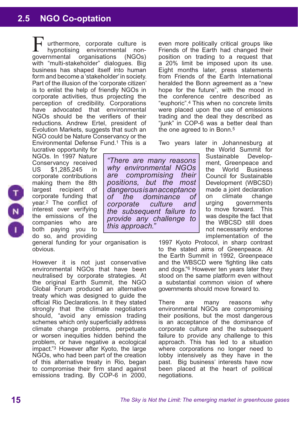## **2.5 NGO Co-optation 2.6 Sinking the Protocol**

urthermore, corporate culture is hypnotising environmental nonorganisations (NGOs) with "multi-stakeholder" dialogues. Big business has shaped itself into human form and become a 'stakeholder' in society. Part of the illusion of the 'corporate citizen' is to enlist the help of friendly NGOs in corporate activities, thus projecting the perception of credibility. Corporations have advocated that environmental NGOs should be the verifiers of their reductions. Andrew Ertel, president of Evolution Markets, suggests that such an NGO could be Nature Conservancy or the Environmental Defense Fund.1 This is a aovernmental

lucrative opportunity for NGOs. In 1997 Nature Conservancy received US \$1,285,245 in corporate contributions making them the 8th largest recipient of corporate funding that year.2 The conflict of interest over verifying the emissions of the companies who are both paying you to do so, and providing

general funding for your organisation is obvious.

However it is not just conservative environmental NGOs that have been neutralised by corporate strategies. At the original Earth Summit, the NGO Global Forum produced an alternative treaty which was designed to guide the official Rio Declarations. In it they stated strongly that the climate negotiators should, "avoid any emission trading schemes which only superficially address climate change problems, perpetuate or worsen inequities hidden behind the problem, or have negative a ecological impact."3 However after Kyoto, the large NGOs, who had been part of the creation of this alternative treaty in Rio, began to compromise their firm stand against emissions trading. By COP-6 in 2000, even more politically critical groups like Friends of the Earth had changed their position on trading to a request that a 20% limit be imposed upon its use. Eight months later, press statements from Friends of the Earth International heralded the Bonn agreement as a "new hope for the future", with the mood in the conference centre described as "euphoric".4 This when no concrete limits were placed upon the use of emissions trading and the deal they described as "junk" in COP-6 was a better deal than the one agreed to in Bonn.<sup>5</sup>

Two years later in Johannesburg at

*"There are many reasons why environmental NGOs are compromising their positions, but the most dangerous is an acceptance of the dominance of corporate culture and the subsequent failure to provide any challenge to* 

*this approach."*

the World Summit for Sustainable Development, Greenpeace and the World Business Council for Sustainable Development (WBCSD) made a joint declaration<br>on climate change on climate change urging governments to move forward. This was despite the fact that the WBCSD still does not necessarily endorse implementation of the

1997 Kyoto Protocol, in sharp contrast to the stated aims of Greenpeace. At the Earth Summit in 1992, Greenpeace and the WBSCD were 'fighting like cats and dogs."6 However ten years later they stood on the same platform even without a substantial common vision of where governments should move forward to.

There are many reasons why environmental NGOs are compromising their positions, but the most dangerous is an acceptance of the dominance of corporate culture and the subsequent failure to provide any challenge to this approach. This has led to a situation where corporations no longer need to lobby intensively as they have in the past. Big business' interests have now been placed at the heart of political negotiations.

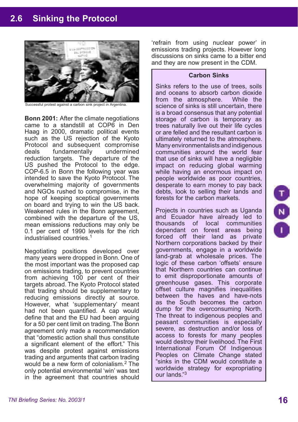## **2.6 Sinking the Protocol**



ccessful protest against a carbon sink project in Argentina.

**Bonn 2001:** After the climate negotiations came to a standstill at COP6 in Den Haag in 2000, dramatic political events such as the US rejection of the Kyoto Protocol and subsequent compromise<br>deals fundamentally undermined deals fundamentally reduction targets. The departure of the US pushed the Protocol to the edge. COP-6.5 in Bonn the following year was intended to save the Kyoto Protocol. The overwhelming majority of governments and NGOs rushed to compromise, in the hope of keeping sceptical governments on board and trying to win the US back. Weakened rules in the Bonn agreement, combined with the departure of the US, mean emissions reductions may only be 0.1 per cent of 1990 levels for the rich industrialised countries.1

Negotiating positions developed over many years were dropped in Bonn. One of the most important was the proposed cap on emissions trading, to prevent countries from achieving 100 per cent of their targets abroad. The Kyoto Protocol stated that trading should be supplementary to reducing emissions directly at source. However, what 'supplementary' meant had not been quantified. A cap would define that and the EU had been arguing for a 50 per cent limit on trading. The Bonn agreement only made a recommendation that "domestic action shall thus constitute a significant element of the effort." This was despite protest against emissions trading and arguments that carbon trading would be a new form of colonialism.2 The only potential environmental 'win' was text in the agreement that countries should

'refrain from using nuclear power' in emissions trading projects. However long discussions on sinks came to a bitter end and they are now present in the CDM.

#### **Carbon Sinks**

Sinks refers to the use of trees, soils and oceans to absorb carbon dioxide<br>from the atmosphere. While the from the atmosphere. science of sinks is still uncertain, there is a broad consensus that any potential storage of carbon is temporary as trees naturally live out their life cycles or are felled and the resultant carbon is ultimately returned to the atmosphere. Many environmentalists and indigenous communities around the world fear that use of sinks will have a negligible impact on reducing global warming while having an enormous impact on people worldwide as poor countries, desperate to earn money to pay back debts, look to selling their lands and forests for the carbon markets.

Projects in countries such as Uganda and Ecuador have already led to thousands of local communities dependant on forest areas being forced off their land as private Northern corporations backed by their governments, engage in a worldwide land-grab at wholesale prices. The logic of these carbon 'offsets' ensure that Northern countries can continue to emit disproportionate amounts of greenhouse gases. This corporate offset culture magnifies inequalities between the haves and have-nots as the South becomes the carbon dump for the overconsuming North. The threat to indigenous peoples and peasant communities is especially severe, as destruction and/or loss of access to forests for many peoples would destroy their livelihood. The First International Forum Of Indigenous Peoples on Climate Change stated "sinks in the CDM would constitute a worldwide strategy for expropriating our lands."<sup>3</sup>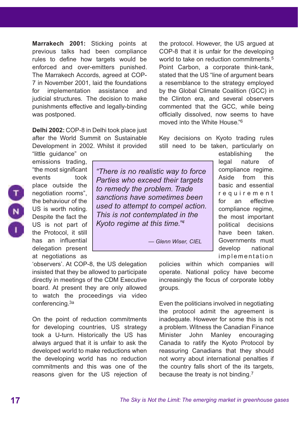**Marrakech 2001:** Sticking points at previous talks had been compliance rules to define how targets would be enforced and over-emitters punished. The Marrakech Accords, agreed at COP-7 in November 2001, laid the foundations for implementation assistance and judicial structures. The decision to make punishments effective and legally-binding was postponed.

**Delhi 2002:** COP-8 in Delhi took place just after the World Summit on Sustainable Development in 2002. Whilst it provided "little guidance" on



"the most significant events took place outside the negotiation rooms", the behaviour of the US is worth noting. Despite the fact the US is not part of the Protocol, it still has an influential delegation present at negotiations as

emissions trading,

*"There is no realistic way to force Parties who exceed their targets to remedy the problem. Trade sanctions have sometimes been used to attempt to compel action. This is not contemplated in the Kyoto regime at this time."4*

 *— Glenn Wiser, CIEL* 

the protocol. However, the US argued at COP-8 that it is unfair for the developing world to take on reduction commitments.<sup>5</sup> Point Carbon, a corporate think-tank, stated that the US "line of argument bears a resemblance to the strategy employed by the Global Climate Coalition (GCC) in the Clinton era, and several observers commented that the GCC, while being officially dissolved, now seems to have moved into the White House."6

Key decisions on Kyoto trading rules still need to be taken, particularly on

establishing the legal nature of compliance regime. Aside from this basic and essential r e q u i r e m e n t for an effective compliance regime, the most important political decisions have been taken. Governments must develop national implementation

policies within which companies will operate. National policy have become increasingly the focus of corporate lobby groups.

Even the politicians involved in negotiating the protocol admit the agreement is inadequate. However for some this is not a problem. Witness the Canadian Finance Minister John Manley encouraging Canada to ratify the Kyoto Protocol by reassuring Canadians that they should not worry about international penalties if the country falls short of the its targets, because the treaty is not binding.7

'observers'. At COP-8, the US delegation insisted that they be allowed to participate directly in meetings of the CDM Executive board. At present they are only allowed to watch the proceedings via video conferencing.3a

On the point of reduction commitments for developing countries, US strategy took a U-turn. Historically the US has always argued that it is unfair to ask the developed world to make reductions when the developing world has no reduction commitments and this was one of the reasons given for the US rejection of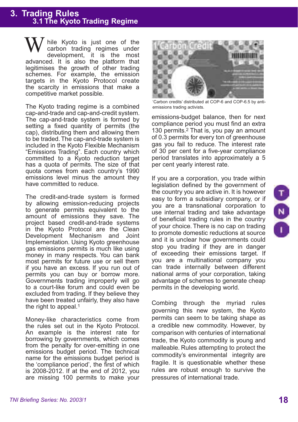# **3. Trading Rules 3.1 The Kyoto Trading Regime**

hile Kyoto is just one of the carbon trading regimes under development, it is the most advanced. It is also the platform that legitimises the growth of other trading schemes. For example, the emission targets in the Kyoto Protocol create the scarcity in emissions that make a competitive market possible. W

The Kyoto trading regime is a combined cap-and-trade and cap-and-credit system. The cap-and-trade system is formed by setting a fixed quantity of permits (the cap), distributing them and allowing them to be traded. The cap-and-trade system is included in the Kyoto Flexible Mechanism "Emissions Trading". Each country which committed to a Kyoto reduction target has a quota of permits. The size of that quota comes from each country's 1990 emissions level minus the amount they have committed to reduce.

The credit-and-trade system is formed by allowing emission-reducing projects to generate permits equivalent to the amount of emissions they save. The project based credit-and-trade systems in the Kyoto Protocol are the Clean Development Mechanism and Joint Implementation. Using Kyoto greenhouse gas emissions permits is much like using money in many respects. You can bank most permits for future use or sell them if you have an excess. If you run out of permits you can buy or borrow more. Governments trading improperly will go to a court-like forum and could even be excluded from trading. If they believe they have been treated unfairly, they also have the right to appeal.<sup>1</sup>

Money-like characteristics come from the rules set out in the Kyoto Protocol. An example is the interest rate for borrowing by governments, which comes from the penalty for over-emitting in one emissions budget period. The technical name for the emissions budget period is the 'compliance period', the first of which is 2008-2012. If at the end of 2012, you are missing 100 permits to make your



'Carbon credits' distributed at COP-6 and COP-6.5 by antiemissions trading activists.

emissions-budget balance, then for next compliance period you must find an extra 130 permits.2 That is, you pay an amount of 0.3 permits for every ton of greenhouse gas you fail to reduce. The interest rate of 30 per cent for a five-year compliance period translates into approximately a 5 per cent yearly interest rate.

If you are a corporation, you trade within legislation defined by the government of the country you are active in. It is however easy to form a subsidiary company, or if you are a transnational corporation to use internal trading and take advantage of beneficial trading rules in the country of your choice. There is no cap on trading to promote domestic reductions at source and it is unclear how governments could stop you trading if they are in danger of exceeding their emissions target. If you are a multinational company you can trade internally between different national arms of your corporation, taking advantage of schemes to generate cheap permits in the developing world.

Combing through the myriad rules governing this new system, the Kyoto permits can seem to be taking shape as a credible new commodity. However, by comparison with centuries of international trade, the Kyoto commodity is young and malleable. Rules attempting to protect the commodity's environmental integrity are fragile. It is questionable whether these rules are robust enough to survive the pressures of international trade.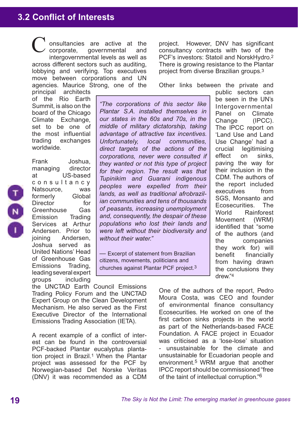## **3.2 Conflict of Interests**

onsultancies are active at the corporate, governmental and intergovernmental levels as well as across different sectors such as auditing, lobbying and verifying. Top executives move between corporations and UN agencies. Maurice Strong, one of the C

principal architects of the Rio Earth Summit, is also on the board of the Chicago Climate Exchange, set to be one of the most influential trading exchanges worldwide.

Frank Joshua,



managing director at US-based c o n s u l t a n c y Natsource, was<br>formerly Global formerly Director for Greenhouse Gas Emission Trading Services at Arthur Andersen. Prior to joining Andersen, Joshua served as United Nations' Head of Greenhouse Gas Emissions Trading, leading several expert groups including project. However, DNV has significant consultancy contracts with two of the PCF's investors: Statoil and NorskHydro.2 There is growing resistance to the Plantar project from diverse Brazilian groups.3

Other links between the private and

*"The corporations of this sector like Plantar S.A. installed themselves in our states in the 60s and 70s, in the middle of military dictatorship, taking advantage of attractive tax incentives. Unfortunately, local communities, direct targets of the actions of the corporations, never were consulted if they wanted or not this type of project for their region. The result was that Tupinikim and Guarani indigenous peoples were expelled from their lands, as well as traditional afrobrazilian communities and tens of thousands of peasants, increasing unemployment and, consequently, the despair of these populations who lost their lands and were left without their biodiversity and without their water."*

— Excerpt of statement from Brazilian citizens, movements, politicians and churches against Plantar PCF project.3

public sectors can be seen in the UN's Intergovernmental Panel on Climate Change (IPCC). The IPCC report on 'Land Use and Land Use Change' had a crucial legitimising effect on sinks, paving the way for their inclusion in the CDM. The authors of the report included executives from SGS, Monsanto and Ecosecurities. The World Rainforest Movement (WRM) identified that "some of the authors (and the companies they work for) will benefit financially from having drawn the conclusions they drew."4

the UNCTAD Earth Council Emissions Trading Policy Forum and the UNCTAD Expert Group on the Clean Development Mechanism. He also served as the First Executive Director of the International Emissions Trading Association (IETA).

A recent example of a conflict of interest can be found in the controversial PCF-backed Plantar eucalyptus plantation project in Brazil.1 When the Plantar project was assessed for the PCF by Norwegian-based Det Norske Veritas (DNV) it was recommended as a CDM One of the authors of the report, Pedro Moura Costa, was CEO and founder of environmental finance consultancy Ecosecurities. He worked on one of the first carbon sinks projects in the world as part of the Netherlands-based FACE Foundation. A FACE project in Ecuador was criticised as a 'lose-lose' situation unsustainable for the climate and unsustainable for Ecuadorian people and environment.5 WRM argue that another IPCC report should be commissioned "free of the taint of intellectual corruption."6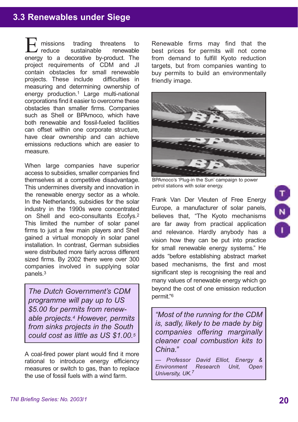## **3.3 Renewables under Siege**

missions trading threatens to reduce sustainable renewable **Ending** missions trading threatens to reduce sustainable renewable energy to a decorative by-product. The project requirements of CDM and JI contain obstacles for small renewable<br>projects These include difficulties in projects. These include measuring and determining ownership of energy production.1 Large multi-national corporations find it easier to overcome these obstacles than smaller firms. Companies such as Shell or BPAmoco, which have both renewable and fossil-fueled facilities can offset within one corporate structure, have clear ownership and can achieve emissions reductions which are easier to measure.

When large companies have superior access to subsidies, smaller companies find themselves at a competitive disadvantage. This undermines diversity and innovation in the renewable energy sector as a whole. In the Netherlands, subsidies for the solar industry in the 1990s were concentrated on Shell and eco-consultants Ecofys.2 This limited the number of solar panel firms to just a few main players and Shell gained a virtual monopoly in solar panel installation. In contrast, German subsidies were distributed more fairly across different sized firms. By 2002 there were over 300 companies involved in supplying solar panels.3

*The Dutch Government's CDM programme will pay up to US \$5.00 for permits from renewable projects.4 However, permits from sinks projects in the South could cost as little as US \$1.00.5*

A coal-fired power plant would find it more rational to introduce energy efficiency measures or switch to gas, than to replace the use of fossil fuels with a wind farm.

Renewable firms may find that the best prices for permits will not come from demand to fulfill Kyoto reduction targets, but from companies wanting to buy permits to build an environmentally friendly image.



BPAmoco's 'Plug-in the Sun' campaign to power petrol stations with solar energy.

Frank Van Der Vleuten of Free Energy Europe, a manufacturer of solar panels, believes that, "The Kyoto mechanisms are far away from practical application and relevance. Hardly anybody has a vision how they can be put into practice for small renewable energy systems." He adds "before establishing abstract market based mechanisms, the first and most significant step is recognising the real and many values of renewable energy which go beyond the cost of one emission reduction permit."6

*"Most of the running for the CDM is, sadly, likely to be made by big companies offering marginally cleaner coal combustion kits to China."* 

*— Professor David Elliot, Energy & Environment Research Unit, Open University, UK.7*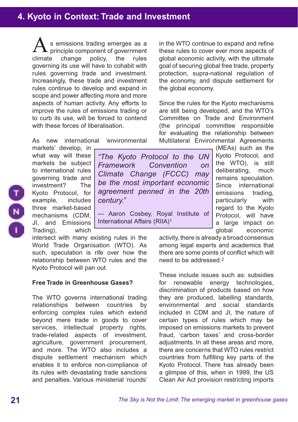s emissions trading emerges as a  $\blacktriangle$  principle component of government climate change policy, the rules governing its use will have to cohabit with rules governing trade and investment. Increasingly, these trade and investment rules continue to develop and expand in scope and power affecting more and more aspects of human activity. Any efforts to improve the rules of emissions trading or to curb its use, will be forced to contend with these forces of liberalisation A

As new international 'environmental

markets' develop, in what way will these markets be subject to international rules governing trade and investment? The Kyoto Protocol, for example, includes three market-based mechanisms (CDM, JI, and Emissions Trading), which

intersect with many existing rules in the World Trade Organisation (WTO). As such, speculation is rife over how the relationship between WTO rules and the Kyoto Protocol will pan out.

## **Free Trade in Greenhouse Gases?**

The WTO governs international trading relationships between countries by enforcing complex rules which extend beyond mere trade in goods to cover services, intellectual property rights, trade-related aspects of investment, agriculture, government procurement, and more. The WTO also includes a dispute settlement mechanism which enables it to enforce non-compliance of its rules with devastating trade sanctions and penalties. Various ministerial 'rounds'

in the WTO continue to expand and refine these rules to cover ever more aspects of global economic activity, with the ultimate goal of securing global free trade, property protection, supra-national regulation of the economy, and dispute settlement for the global economy.

Since the rules for the Kyoto mechanisms are still being developed, and the WTO's Committee on Trade and Environment (the principal committee responsible for evaluating the relationship between Multilateral Environmental Agreements

*"The Kyoto Protocol to the UN Framework Convention on Climate Change (FCCC) may be the most important economic agreement penned in the 20th century."*

— Aaron Cosbey, Royal Institute of International Affairs (RIIA)1

(MEAs) such as the Kyoto Protocol, and the WTO), is still deliberating, much remains speculation. Since international emissions trading, particularly with regard to the Kyoto Protocol, will have a large impact on global economic

activity, there is already a broad consensus among legal experts and academics that there are some points of conflict which will need to be addressed.2

These include issues such as: subsidies for renewable energy technologies, discrimination of products based on how they are produced, labelling standards, environmental and social standards included in CDM and JI, the nature of certain types of rules which may be imposed on emissions markets to prevent fraud, 'carbon taxes' and cross-border adiustments. In all these areas and more, there are concerns that WTO rules restrict countries from fulfilling key parts of the Kyoto Protocol. There has already been a glimpse of this, when in 1999, the US Clean Air Act provision restricting imports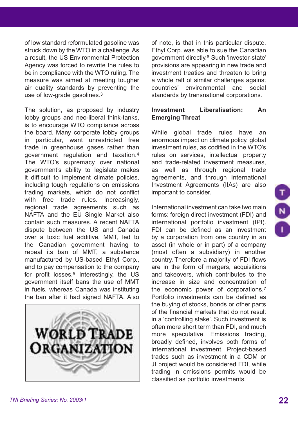of low standard reformulated gasoline was struck down by the WTO in a challenge. As a result, the US Environmental Protection Agency was forced to rewrite the rules to be in compliance with the WTO ruling. The measure was aimed at meeting tougher air quality standards by preventing the use of low-grade gasolines.3

The solution, as proposed by industry lobby groups and neo-liberal think-tanks, is to encourage WTO compliance across the board. Many corporate lobby groups in particular, want unrestricted free trade in greenhouse gases rather than government regulation and taxation.4 The WTO's supremacy over national government's ability to legislate makes it difficult to implement climate policies, including tough regulations on emissions trading markets, which do not conflict with free trade rules. Increasingly, regional trade agreements such as NAFTA and the EU Single Market also contain such measures. A recent NAFTA dispute between the US and Canada over a toxic fuel additive, MMT, led to the Canadian government having to repeal its ban of MMT, a substance manufactured by US-based Ethyl Corp., and to pay compensation to the company for profit losses.5 Interestingly, the US government itself bans the use of MMT in fuels, whereas Canada was instituting the ban after it had signed NAFTA. Also



of note, is that in this particular dispute, Ethyl Corp. was able to sue the Canadian government directly.6 Such 'investor-state' provisions are appearing in new trade and investment treaties and threaten to bring a whole raft of similar challenges against countries' environmental and social standards by transnational corporations.

## **Investment Liberalisation: An Emerging Threat**

While global trade rules have an enormous impact on climate policy, global investment rules, as codified in the WTO's rules on services, intellectual property and trade-related investment measures, as well as through regional trade agreements, and through International Investment Agreements (IIAs) are also important to consider.

International investment can take two main forms: foreign direct investment (FDI) and international portfolio investment (IPI). FDI can be defined as an investment by a corporation from one country in an asset (in whole or in part) of a company (most often a subsidiary) in another country. Therefore a majority of FDI flows are in the form of mergers, acquisitions and takeovers, which contributes to the increase in size and concentration of the economic power of corporations.7 Portfolio investments can be defined as the buying of stocks, bonds or other parts of the financial markets that do not result in a 'controlling stake'. Such investment is often more short term than FDI, and much more speculative. Emissions trading, broadly defined, involves both forms of international investment. Project-based trades such as investment in a CDM or JI project would be considered FDI, while trading in emissions permits would be classified as portfolio investments.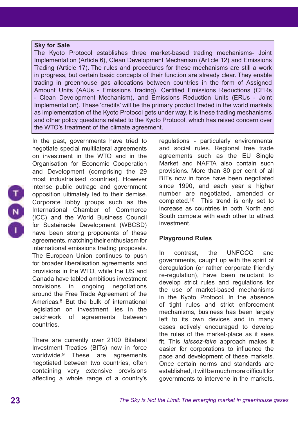#### **Sky for Sale**

The Kyoto Protocol establishes three market-based trading mechanisms- Joint Implementation (Article 6), Clean Development Mechanism (Article 12) and Emissions Trading (Article 17). The rules and procedures for these mechanisms are still a work in progress, but certain basic concepts of their function are already clear. They enable trading in greenhouse gas allocations between countries in the form of Assigned Amount Units (AAUs - Emissions Trading), Certified Emissions Reductions (CERs - Clean Development Mechanism), and Emissions Reduction Units (ERUs - Joint Implementation). These 'credits' will be the primary product traded in the world markets as implementation of the Kyoto Protocol gets under way. It is these trading mechanisms and other policy questions related to the Kyoto Protocol, which has raised concern over the WTO's treatment of the climate agreement.

In the past, governments have tried to negotiate special multilateral agreements on investment in the WTO and in the Organisation for Economic Cooperation and Development (comprising the 29 most industrialised countries). However intense public outrage and government opposition ultimately led to their demise. Corporate lobby groups such as the International Chamber of Commerce (ICC) and the World Business Council for Sustainable Development (WBCSD) have been strong proponents of these agreements, matching their enthusiasm for international emissions trading proposals. The European Union continues to push for broader liberalisation agreements and provisions in the WTO, while the US and Canada have tabled ambitious investment provisions in ongoing negotiations around the Free Trade Agreement of the Americas.8 But the bulk of international legislation on investment lies in the patchwork of agreements between countries.

There are currently over 2100 Bilateral Investment Treaties (BITs) now in force worldwide.9 These are agreements negotiated between two countries, often containing very extensive provisions affecting a whole range of a country's

regulations - particularly environmental and social rules. Regional free trade agreements such as the EU Single Market and NAFTA also contain such provisions. More than 80 per cent of all BITs now in force have been negotiated since 1990, and each year a higher number are negotiated, amended or completed.10 This trend is only set to increase as countries in both North and South compete with each other to attract investment.

## **Playground Rules**

In contrast, the UNFCCC and governments, caught up with the spirit of deregulation (or rather corporate friendly re-regulation), have been reluctant to develop strict rules and regulations for the use of market-based mechanisms in the Kyoto Protocol. In the absence of tight rules and strict enforcement mechanisms, business has been largely left to its own devices and in many cases actively encouraged to develop the rules of the market-place as it sees fit. This *laissez-faire* approach makes it easier for corporations to influence the pace and development of these markets. Once certain norms and standards are established, it will be much more difficult for governments to intervene in the markets.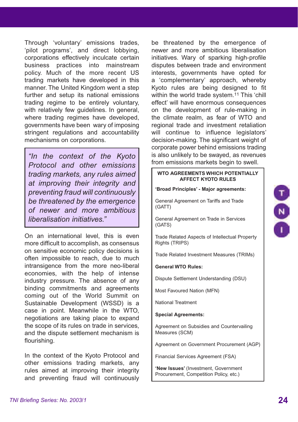Through 'voluntary' emissions trades, 'pilot programs', and direct lobbying, corporations effectively inculcate certain business practices into mainstream policy. Much of the more recent US trading markets have developed in this manner. The United Kingdom went a step further and setup its national emissions trading regime to be entirely voluntary, with relatively few quidelines. In general, where trading regimes have developed. governments have been wary of imposing stringent regulations and accountability mechanisms on corporations.

*Protocol and other emissions trading markets, any rules aimed at improving their integrity and preventing fraud will continuously be threatened by the emergence of newer and more ambitious liberalisation initiatives."*

On an international level, this is even more difficult to accomplish, as consensus on sensitive economic policy decisions is often impossible to reach, due to much intransigence from the more neo-liberal economies, with the help of intense industry pressure. The absence of any binding commitments and agreements coming out of the World Summit on Sustainable Development (WSSD) is a case in point. Meanwhile in the WTO, negotiations are taking place to expand the scope of its rules on trade in services, and the dispute settlement mechanism is flourishing.

In the context of the Kyoto Protocol and other emissions trading markets, any rules aimed at improving their integrity and preventing fraud will continuously

be threatened by the emergence of newer and more ambitious liberalisation initiatives. Wary of sparking high-profile disputes between trade and environment interests, governments have opted for a 'complementary' approach, whereby Kyoto rules are being designed to fit within the world trade system.<sup>11</sup> This 'chill effect' will have enormous consequences on the development of rule-making in the climate realm, as fear of WTO and regional trade and investment retaliation will continue to influence legislators' decision-making. The significant weight of corporate power behind emissions trading is also unlikely to be swayed, as revenues from emissions markets begin to swell. *"In the context of the Kyoto* 

#### **WTO AGREEMENTS WHICH POTENTIALLY AFFECT KYOTO RULES**

**'Broad Principles' - Major agreements:**

General Agreement on Tariffs and Trade (GATT)

General Agreement on Trade in Services (GATS)

Trade Related Aspects of Intellectual Property Rights (TRIPS)

Trade Related Investment Measures (TRIMs)

**General WTO Rules:**

Dispute Settlement Understanding (DSU)

Most Favoured Nation (MFN)

National Treatment

**Special Agreements:**

Agreement on Subsidies and Countervailing Measures (SCM)

Agreement on Government Procurement (AGP)

Financial Services Agreement (FSA)

**'New Issues'** (Investment, Government Procurement, Competition Policy, etc.)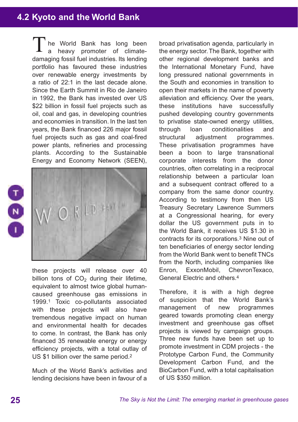## **4.2 Kyoto and the World Bank**

he World Bank has long been a heavy promoter of climatedamaging fossil fuel industries. Its lending portfolio has favoured these industries over renewable energy investments by a ratio of 22:1 in the last decade alone. Since the Earth Summit in Rio de Janeiro in 1992, the Bank has invested over US \$22 billion in fossil fuel projects such as oil, coal and gas, in developing countries and economies in transition. In the last ten years, the Bank financed 226 major fossil fuel projects such as gas and coal-fired power plants, refineries and processing plants. According to the Sustainable Energy and Economy Network (SEEN), T





these projects will release over 40 billion tons of  $CO<sub>2</sub>$  during their lifetime, equivalent to almost twice global humancaused greenhouse gas emissions in 1999.1 Toxic co-pollutants associated with these projects will also have tremendous negative impact on human and environmental health for decades to come. In contrast, the Bank has only financed 35 renewable energy or energy efficiency projects, with a total outlay of US \$1 billion over the same period.<sup>2</sup>

Much of the World Bank's activities and lending decisions have been in favour of a

broad privatisation agenda, particularly in the energy sector. The Bank, together with other regional development banks and the International Monetary Fund, have long pressured national governments in the South and economies in transition to open their markets in the name of poverty alleviation and efficiency. Over the years, these institutions have successfully pushed developing country governments to privatise state-owned energy utilities, through loan conditionalities and structural adjustment programmes. These privatisation programmes have been a boon to large transnational corporate interests from the donor countries, often correlating in a reciprocal relationship between a particular loan and a subsequent contract offered to a company from the same donor country. According to testimony from then US Treasury Secretary Lawrence Summers at a Congressional hearing, for every dollar the US government puts in to the World Bank, it receives US \$1.30 in contracts for its corporations.3 Nine out of ten beneficiaries of energy sector lending from the World Bank went to benefit TNCs from the North, including companies like Enron, ExxonMobil, ChevronTexaco, General Electric and others.4

Therefore, it is with a high degree of suspicion that the World Bank's management of new programmes geared towards promoting clean energy investment and greenhouse gas offset projects is viewed by campaign groups. Three new funds have been set up to promote investment in CDM projects - the Prototype Carbon Fund, the Community Development Carbon Fund, and the BioCarbon Fund, with a total capitalisation of US \$350 million.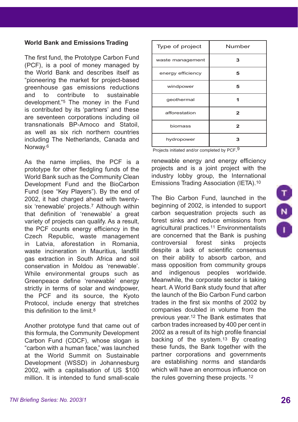## **World Bank and Emissions Trading**

The first fund, the Prototype Carbon Fund (PCF), is a pool of money managed by the World Bank and describes itself as "pioneering the market for project-based greenhouse gas emissions reductions and to contribute to sustainable development."5 The money in the Fund is contributed by its 'partners' and these are seventeen corporations including oil transnationals BP-Amoco and Statoil, as well as six rich northern countries including The Netherlands, Canada and Norway.6

As the name implies, the PCF is a prototype for other fledgling funds of the World Bank such as the Community Clean Development Fund and the BioCarbon Fund (see "Key Players"). By the end of 2002, it had charged ahead with twentysix 'renewable' projects.<sup>7</sup> Although within that definition of 'renewable' a great variety of projects can qualify. As a result, the PCF counts energy efficiency in the Czech Republic, waste management in Latvia, aforestation in Romania, waste incineration in Mauritius, landfill gas extraction in South Africa and soil conservation in Moldou as 'renewable'. While environmental groups such as Greenpeace define 'renewable' energy strictly in terms of solar and windpower. the PCF and its source, the Kyoto Protocol, include energy that stretches this definition to the limit  $8$ 

Another prototype fund that came out of this formula, the Community Development Carbon Fund (CDCF), whose slogan is "carbon with a human face," was launched at the World Summit on Sustainable Development (WSSD) in Johannesburg 2002, with a capitalisation of US \$100 million. It is intended to fund small-scale

| Type of project   | Number |
|-------------------|--------|
| waste management  | з      |
| energy efficiency | 5      |
| windpower         | 5      |
| geothermal        |        |
| afforestation     | 2      |
| biomass           | 2      |
| hydropower        | З      |

Projects initiated and/or completed by PCF.9

renewable energy and energy efficiency projects and is a joint project with the industry lobby group, the International Emissions Trading Association (IETA).10

The Bio Carbon Fund, launched in the beginning of 2002, is intended to support carbon sequestration projects such as forest sinks and reduce emissions from agricultural practices.11 Environmentalists are concerned that the Bank is pushing controversial forest sinks projects despite a lack of scientific consensus on their ability to absorb carbon, and mass opposition from community groups and indigenous peoples worldwide. Meanwhile, the corporate sector is taking heart. A World Bank study found that after the launch of the Bio Carbon Fund carbon trades in the first six months of 2002 by companies doubled in volume from the previous year.12 The Bank estimates that carbon trades increased by 400 per cent in 2002 as a result of its high profile financial backing of the system.<sup>13</sup> By creating these funds, the Bank together with the partner corporations and governments are establishing norms and standards which will have an enormous influence on the rules governing these projects. 12

 $\begin{array}{c} \n\hline\n\end{array}$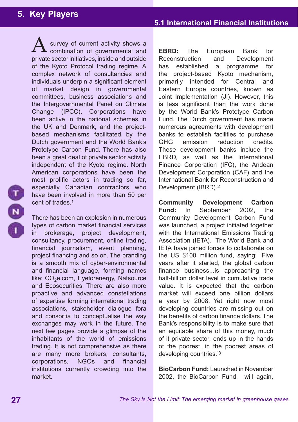## **5. Key Players**

survey of current activity shows a combination of governmental and private sector initiatives, inside and outside of the Kyoto Protocol trading regime. A complex network of consultancies and individuals underpin a significant element of market design in governmental committees, business associations and the Intergovernmental Panel on Climate Change (IPCC). Corporations have been active in the national schemes in the UK and Denmark, and the projectbased mechanisms facilitated by the Dutch government and the World Bank's Prototype Carbon Fund. There has also been a great deal of private sector activity independent of the Kyoto regime. North American corporations have been the most prolific actors in trading so far, especially Canadian contractors who have been involved in more than 50 per cent of trades.1 A

There has been an explosion in numerous types of carbon market financial services in brokerage, project development, consultancy, procurement, online trading, financial journalism, event planning, project financing and so on. The branding is a smooth mix of cyber-environmental and financial language, forming names like: CO<sub>2</sub>e.com, Eyeforenergy, Natsource and Ecosecurities. There are also more proactive and advanced constellations of expertise forming international trading associations, stakeholder dialogue fora and consortia to conceptualise the way exchanges may work in the future. The next few pages provide a glimpse of the inhabitants of the world of emissions trading. It is not comprehensive as there are many more brokers, consultants, corporations, NGOs and financial institutions currently crowding into the market.

**EBRD:** The European Bank for Reconstruction and Development has established a programme for the project-based Kyoto mechanism, primarily intended for Central and Eastern Europe countries, known as Joint Implementation (JI). However, this is less significant than the work done by the World Bank's Prototype Carbon Fund. The Dutch government has made numerous agreements with development banks to establish facilities to purchase GHG emission reduction credits. These development banks include the EBRD, as well as the International Finance Corporation (IFC), the Andean Development Corporation (CAF) and the International Bank for Reconstruction and Development (IBRD).2

**Community Development Carbon Fund:** In September 2002, the Community Development Carbon Fund was launched, a project initiated together with the International Emissions Trading Association (IETA). The World Bank and IETA have joined forces to collaborate on the US \$100 million fund, saying: "Five years after it started, the global carbon finance business...is approaching the half-billion dollar level in cumulative trade value. It is expected that the carbon market will exceed one billion dollars a year by 2008. Yet right now most developing countries are missing out on the benefits of carbon finance dollars. The Bank's responsibility is to make sure that an equitable share of this money, much of it private sector, ends up in the hands of the poorest, in the poorest areas of developing countries."3

**BioCarbon Fund:** Launched in November 2002, the BioCarbon Fund, will again,

**27**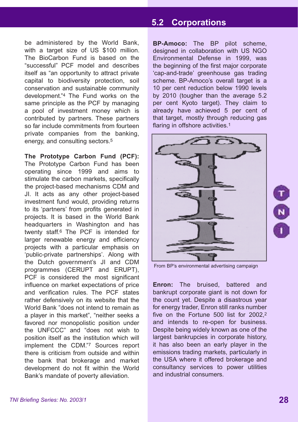be administered by the World Bank, with a target size of US \$100 million. The BioCarbon Fund is based on the "successful" PCF model and describes itself as "an opportunity to attract private capital to biodiversity protection, soil conservation and sustainable community development."4 The Fund works on the same principle as the PCF by managing a pool of investment money which is contributed by partners. These partners so far include commitments from fourteen private companies from the banking, energy, and consulting sectors.5

**The Prototype Carbon Fund (PCF):** The Prototype Carbon Fund has been operating since 1999 and aims to stimulate the carbon markets, specifically the project-based mechanisms CDM and JI. It acts as any other project-based investment fund would, providing returns to its 'partners' from profits generated in projects. It is based in the World Bank headquarters in Washington and has twenty staff.6 The PCF is intended for larger renewable energy and efficiency projects with a particular emphasis on 'public-private partnerships'. Along with the Dutch government's JI and CDM programmes (CERUPT and ERUPT), PCF is considered the most significant influence on market expectations of price and verification rules. The PCF states rather defensively on its website that the World Bank "does not intend to remain as a player in this market", "neither seeks a favored nor monopolistic position under the UNFCCC" and "does not wish to position itself as the institution which will implement the CDM."7 Sources report there is criticism from outside and within the bank that brokerage and market development do not fit within the World Bank's mandate of poverty alleviation.

## **5.1 International Financial Institutions 5.2 Corporations**

**BP-Amoco:** The BP pilot scheme, designed in collaboration with US NGO Environmental Defense in 1999, was the beginning of the first major corporate 'cap-and-trade' greenhouse gas trading scheme. BP-Amoco's overall target is a 10 per cent reduction below 1990 levels by 2010 (tougher than the average 5.2 per cent Kyoto target). They claim to already have achieved 5 per cent of that target, mostly through reducing gas flaring in offshore activities.<sup>1</sup>



From BP's environmental advertising campaign

**Enron:** The bruised, battered and bankrupt corporate giant is not down for the count yet. Despite a disastrous year for energy trader, Enron still ranks number five on the Fortune 500 list for 2002,2 and intends to re-open for business. Despite being widely known as one of the largest bankrupcies in corporate history, it has also been an early player in the emissions trading markets, particularly in the USA where it offered brokerage and consultancy services to power utilities and industrial consumers.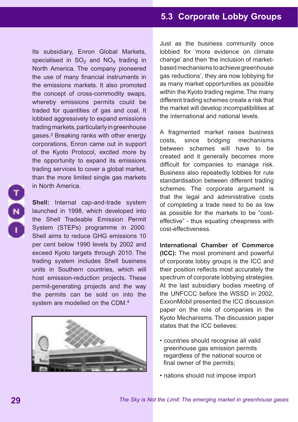Its subsidiary, Enron Global Markets, specialised in  $SO<sub>2</sub>$  and  $NO<sub>x</sub>$  trading in North America. The company pioneered the use of many financial instruments in the emissions markets. It also promoted the concept of cross-commodity swaps, whereby emissions permits could be traded for quantities of gas and coal. It lobbied aggressively to expand emissions trading markets, particularly in greenhouse gases.3 Breaking ranks with other energy corporations, Enron came out in support of the Kyoto Protocol, excited more by the opportunity to expand its emissions trading services to cover a global market, than the more limited single gas markets in North America.

**Shell:** Internal cap-and-trade system launched in 1998, which developed into the Shell Tradeable Emission Permit System (STEPs) programme in 2000. Shell aims to reduce GHG emissions 10 per cent below 1990 levels by 2002 and exceed Kyoto targets through 2010. The trading system includes Shell business units in Southern countries, which will host emission-reduction projects. These permit-generating projects and the way the permits can be sold on into the system are modelled on the CDM.<sup>4</sup>



Just as the business community once lobbied for 'more evidence on climate change' and then 'the inclusion of marketbased mechanisms to achieve greenhouse gas reductions', they are now lobbying for as many market opportunities as possible within the Kyoto trading regime. The many different trading schemes create a risk that the market will develop incompatibilities at the international and national levels.

A fragmented market raises business costs, since bridging mechanisms between schemes will have to be created and it generally becomes more difficult for companies to manage risk. Business also repeatedly lobbies for rule standardisation between different trading schemes. The corporate argument is that the legal and administrative costs of completing a trade need to be as low as possible for the markets to be "costeffective" - thus equating cheapness with cost-effectiveness.

**International Chamber of Commerce (ICC):** The most prominent and powerful of corporate lobby groups is the ICC and their position reflects most accurately the spectrum of corporate lobbying strategies. At the last subsidiary bodies meeting of the UNFCCC before the WSSD in 2002, ExxonMobil presented the ICC discussion paper on the role of companies in the Kyoto Mechanisms. The discussion paper states that the ICC believes:

- countries should recognise all valid greenhouse gas emission permits regardless of the national source or final owner of the permits;
- nations should not impose import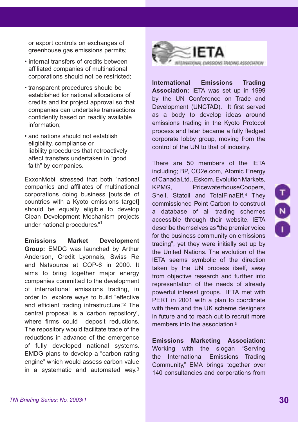or export controls on exchanges of greenhouse gas emissions permits;

- internal transfers of credits between affiliated companies of multinational corporations should not be restricted;
- transparent procedures should be established for national allocations of credits and for project approval so that companies can undertake transactions confidently based on readily available information;
- and nations should not establish eligibility, compliance or liability procedures that retroactively affect transfers undertaken in "good faith" by companies.

ExxonMobil stressed that both "national companies and affiliates of multinational corporations doing business [outside of countries with a Kyoto emissions target] should be equally eligible to develop Clean Development Mechanism projects under national procedures."1

**Emissions Market Development Group:** EMDG was launched by Arthur Anderson, Credit Lyonnais, Swiss Re and Natsource at COP-6 in 2000. It aims to bring together major energy companies committed to the development of international emissions trading, in order to explore ways to build "effective and efficient trading infrastructure."2 The central proposal is a 'carbon repository', where firms could deposit reductions. The repository would facilitate trade of the reductions in advance of the emergence of fully developed national systems. EMDG plans to develop a "carbon rating engine" which would assess carbon value in a systematic and automated way.3



**International Emissions Trading Association:** IETA was set up in 1999 by the UN Conference on Trade and Development (UNCTAD). It first served as a body to develop ideas around emissions trading in the Kyoto Protocol process and later became a fully fledged corporate lobby group, moving from the control of the UN to that of industry.

There are 50 members of the IETA including; BP, CO2e.com, Atomic Energy of Canada Ltd., Eskom, Evolution Markets, KPMG, PricewaterhouseCoopers, Shell, Statoil and TotalFinaElf.4 They commissioned Point Carbon to construct a database of all trading schemes accessible through their website. IETA describe themselves as "the premier voice for the business community on emissions trading", yet they were initially set up by the United Nations. The evolution of the IETA seems symbolic of the direction taken by the UN process itself, away from objective research and further into representation of the needs of already powerful interest groups. IETA met with PERT in 2001 with a plan to coordinate with them and the UK scheme designers in future and to reach out to recruit more members into the association.<sup>5</sup>

**Emissions Marketing Association:**  Working with the slogan "Serving the International Emissions Trading Community," EMA brings together over 140 consultancies and corporations from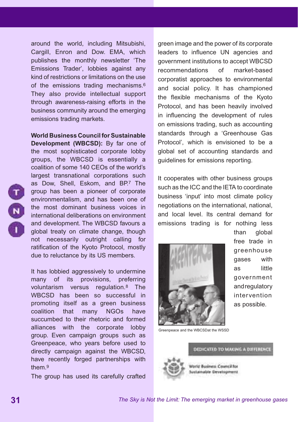around the world, including Mitsubishi, Cargill, Enron and Dow. EMA, which publishes the monthly newsletter 'The Emissions Trader', lobbies against any kind of restrictions or limitations on the use of the emissions trading mechanisms.6 They also provide intellectual support through awareness-raising efforts in the business community around the emerging emissions trading markets.

**World Business Council for Sustainable Development (WBCSD):** By far one of the most sophisticated corporate lobby groups, the WBCSD is essentially a coalition of some 140 CEOs of the world's largest transnational corporations such as Dow, Shell, Eskom, and BP.7 The group has been a pioneer of corporate environmentalism, and has been one of the most dominant business voices in international deliberations on environment and development. The WBCSD favours a global treaty on climate change, though not necessarily outright calling for ratification of the Kyoto Protocol, mostly due to reluctance by its US members.

It has lobbied aggressively to undermine many of its provisions, preferring voluntarism versus regulation.8 The WBCSD has been so successful in promoting itself as a green business coalition that many NGOs have succumbed to their rhetoric and formed alliances with the corporate lobby group. Even campaign groups such as Greenpeace, who years before used to directly campaign against the WBCSD, have recently forged partnerships with them.9

The group has used its carefully crafted

green image and the power of its corporate leaders to influence UN agencies and government institutions to accept WBCSD recommendations of market-based corporatist approaches to environmental and social policy. It has championed the flexible mechanisms of the Kyoto Protocol, and has been heavily involved in influencing the development of rules on emissions trading, such as accounting standards through a 'Greenhouse Gas Protocol', which is envisioned to be a global set of accounting standards and guidelines for emissions reporting.

It cooperates with other business groups such as the ICC and the IETA to coordinate business 'input' into most climate policy negotiations on the international, national, and local level. Its central demand for emissions trading is for nothing less



than global free trade in greenhouse gases with as little government and regulatory intervention as possible.

Greenpeace and the WBCSDat the WSSD

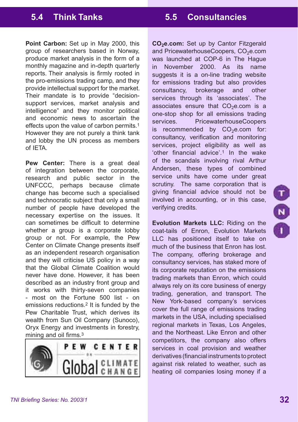**Point Carbon:** Set up in May 2000, this group of researchers based in Norway, produce market analysis in the form of a monthly magazine and in-depth quarterly reports. Their analysis is firmly rooted in the pro-emissions trading camp, and they provide intellectual support for the market. Their mandate is to provide "decisionsupport services, market analysis and intelligence" and they monitor political and economic news to ascertain the effects upon the value of carbon permits.<sup>1</sup> However they are not purely a think tank and lobby the UN process as members of IETA.

**Pew Center:** There is a great deal of integration between the corporate, research and public sector in the UNFCCC, perhaps because climate change has become such a specialised and technocratic subject that only a small number of people have developed the necessary expertise on the issues. It can sometimes be difficult to determine whether a group is a corporate lobby group or not. For example, the Pew Center on Climate Change presents itself as an independent research organisation and they will criticise US policy in a way that the Global Climate Coalition would never have done. However, it has been described as an industry front group and it works with thirty-seven companies - most on the Fortune 500 list - on emissions reductions.2 It is funded by the Pew Charitable Trust, which derives its wealth from Sun Oil Company (Sunoco), Oryx Energy and investments in forestry, mining and oil firms.3



CO<sub>2</sub>e.com: Set up by Cantor Fitzgerald and PricewaterhouseCoopers, CO<sub>2</sub>e.com was launched at COP-6 in The Hague in November 2000. As its name suggests it is a on-line trading website for emissions trading but also provides consultancy, brokerage and other services through its 'associates'. The associates ensure that  $CO<sub>2</sub>e.com$  is a one-stop shop for all emissions trading services. PricewaterhouseCoopers is recommended by  $CO<sub>2</sub>e.com$  for: consultancy, verification and monitoring services, project eligibility as well as 'other financial advice'.1 In the wake of the scandals involving rival Arthur Andersen, these types of combined service units have come under great scrutiny. The same corporation that is giving financial advice should not be involved in accounting, or in this case, verifying credits.

**Evolution Markets LLC:** Riding on the coat-tails of Enron, Evolution Markets LLC has positioned itself to take on much of the business that Enron has lost. The company, offering brokerage and consultancy services, has staked more of its corporate reputation on the emissions trading markets than Enron, which could always rely on its core business of energy trading, generation, and transport. The New York-based company's services cover the full range of emissions trading markets in the USA, including specialised regional markets in Texas, Los Angeles, and the Northeast. Like Enron and other competitors, the company also offers services in coal provision and weather derivatives (financial instruments to protect against risk related to weather, such as heating oil companies losing money if a

T<br>N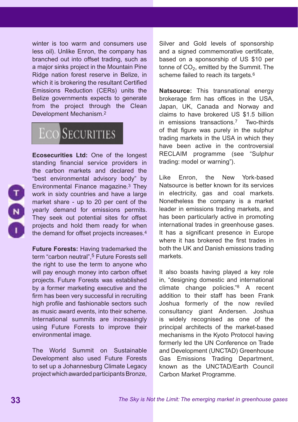winter is too warm and consumers use less oil). Unlike Enron, the company has branched out into offset trading, such as a major sinks project in the Mountain Pine Ridge nation forest reserve in Belize, in which it is brokering the resultant Certified Emissions Reduction (CERs) units the Belize governments expects to generate from the project through the Clean Development Mechanism.2

## **ECO** SECURITIES



**Ecosecurities Ltd:** One of the longest standing financial service providers in the carbon markets and declared the "best environmental advisory body" by Environmental Finance magazine.3 They work in sixty countries and have a large market share - up to 20 per cent of the yearly demand for emissions permits. They seek out potential sites for offset projects and hold them ready for when the demand for offset projects increases.4

**Future Forests:** Having trademarked the term "carbon neutral",<sup>5</sup> Future Forests sell the right to use the term to anyone who will pay enough money into carbon offset projects. Future Forests was established by a former marketing executive and the firm has been very successful in recruiting high profile and fashionable sectors such as music award events, into their scheme. International summits are increasingly using Future Forests to improve their environmental image.

The World Summit on Sustainable Development also used Future Forests to set up a Johannesburg Climate Legacy project which awarded participants Bronze,

Silver and Gold levels of sponsorship and a signed commemorative certificate. based on a sponsorship of US \$10 per tonne of  $CO<sub>2</sub>$ , emitted by the Summit. The scheme failed to reach its targets.<sup>6</sup>

**Natsource:** This transnational energy brokerage firm has offices in the USA, Japan, UK, Canada and Norway and claims to have brokered US \$1.5 billion in emissions transactions.7 Two-thirds of that figure was purely in the sulphur trading markets in the USA in which they have been active in the controversial RECLAIM programme (see "Sulphur trading: model or warning").

Like Enron, the New York-based Natsource is better known for its services in electricity, gas and coal markets. Nonetheless the company is a market leader in emissions trading markets, and has been particularly active in promoting international trades in greenhouse gases. It has a significant presence in Europe where it has brokered the first trades in both the UK and Danish emissions trading markets.

It also boasts having played a key role in, "designing domestic and international climate change policies."8 A recent addition to their staff has been Frank Joshua formerly of the now reviled consultancy giant Andersen. Joshua is widely recognised as one of the principal architects of the market-based mechanisms in the Kyoto Protocol having formerly led the UN Conference on Trade and Development (UNCTAD) Greenhouse Gas Emissions Trading Department, known as the UNCTAD/Earth Council Carbon Market Programme.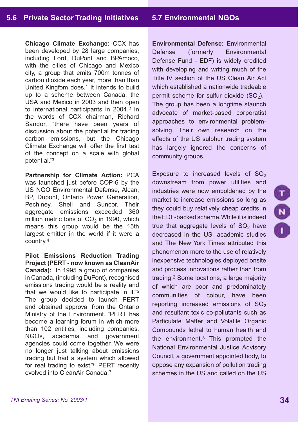**Chicago Climate Exchange:** CCX has been developed by 28 large companies, including Ford, DuPont and BPAmoco, with the cities of Chicago and Mexico city, a group that emits 700m tonnes of carbon dioxide each year, more than than United Kingfom does.<sup>1</sup> It intends to build up to a scheme between Canada, the USA and Mexico in 2003 and then open to international participants in 2004.2 In the words of CCX chairman, Richard Sandor, "there have been years of discussion about the potential for trading carbon emissions, but the Chicago Climate Exchange will offer the first test of the concept on a scale with global potential."3

**Partnership for Climate Action:** PCA was launched just before COP-6 by the US NGO Environmental Defense, Alcan, BP, Dupont, Ontario Power Generation, Pechiney, Shell and Suncor. Their aggregate emissions exceeded 360 million metric tons of  $CO<sub>2</sub>$  in 1990, which means this group would be the 15th largest emitter in the world if it were a country.4

**Pilot Emissions Reduction Trading Project (PERT - now known as CleanAir Canada):** "In 1995 a group of companies in Canada, (including DuPont), recognised emissions trading would be a reality and that we would like to participate in it."5 The group decided to launch PERT and obtained approval from the Ontario Ministry of the Environment. "PERT has become a learning forum in which more than 102 entities, including companies, NGOs, academia and government agencies could come together. We were no longer just talking about emissions trading but had a system which allowed for real trading to exist."6 PERT recently evolved into CleanAir Canada.7

**Environmental Defense:** Environmental Defense (formerly Environmental Defense Fund - EDF) is widely credited with developing and writing much of the Title IV section of the US Clean Air Act which established a nationwide tradeable permit scheme for sulfur dioxide  $(SO<sub>2</sub>)$ .<sup>1</sup> The group has been a longtime staunch advocate of market-based corporatist approaches to environmental problemsolving. Their own research on the effects of the US sulphur trading system has largely ignored the concerns of community groups.

Exposure to increased levels of  $SO<sub>2</sub>$ downstream from power utilities and industries were now emboldened by the market to increase emissions so long as they could buy relatively cheap credits in the EDF-backed scheme. While it is indeed true that aggregate levels of  $SO<sub>2</sub>$  have decreased in the US, academic studies and The New York Times attributed this phenomenon more to the use of relatively inexpensive technologies deployed onsite and process innovations rather than from trading.2 Some locations, a large majority of which are poor and predominately communities of colour, have been reporting increased emissions of  $SO<sub>2</sub>$ and resultant toxic co-pollutants such as Particulate Matter and Volatile Organic Compounds lethal to human health and the environment.3 This prompted the National Environmental Justice Advisory Council, a government appointed body, to oppose any expansion of pollution trading schemes in the US and called on the US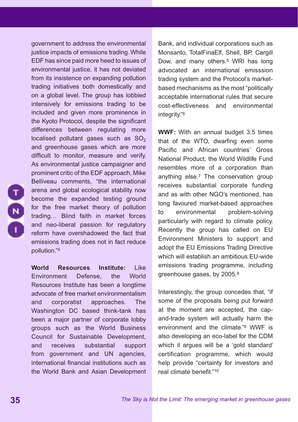government to address the environmental justice impacts of emissions trading. While EDF has since paid more heed to issues of environmental justice, it has not deviated from its insistence on expanding pollution trading initiatives both domestically and on a global level. The group has lobbied intensively for emissions trading to be included and given more prominence in the Kyoto Protocol, despite the significant differences between regulating more localised pollutant gases such as  $SO<sub>2</sub>$ and greenhouse gases which are more difficult to monitor, measure and verify. As environmental justice campaigner and prominent critic of the EDF approach, Mike Belliveau comments, "the international arena and global ecological stability now become the expanded testing ground for the free market theory of pollution trading… Blind faith in market forces and neo-liberal passion for regulatory reform have overshadowed the fact that emissions trading does not in fact reduce pollution."4

**World Resources Institute:** Like Environment Defense, the World Resources Institute has been a longtime advocate of free market environmentalism and corporatist approaches. The Washington DC based think-tank has been a major partner of corporate lobby groups such as the World Business Council for Sustainable Development, and receives substantial support from government and UN agencies, international financial institutions such as the World Bank and Asian Development Bank, and individual corporations such as Monsanto, TotalFinaElf, Shell, BP, Cargill Dow, and many others.5 WRI has long advocated an international emisssion trading system and the Protocol's marketbased mechanisms as the most "politically acceptable international rules that secure cost-effectiveness and environmental integrity."<sup>6</sup>

**WWF:** With an annual budget 3.5 times that of the WTO, dwarfing even some Pacific and African countries' Gross National Product, the World Wildlife Fund resembles more of a corporation than anything else.7 The conservation group receives substantial corporate funding and as with other NGO's mentioned, has long favoured market-based approaches to environmental problem-solving particularly with regard to climate policy. Recently the group has called on EU Environment Ministers to support and adopt the EU Emissions Trading Directive which will establish an ambitious EU-wide emissions trading programme, including greenhouse gases, by 2005.8

Interestingly, the group concedes that, "if some of the proposals being put forward at the moment are accepted, the capand-trade system will actually harm the environment and the climate."9 WWF is also developing an eco-label for the CDM which it argues will be a 'gold standard' certification programme, which would help provide "certainty for investors and real climate benefit."10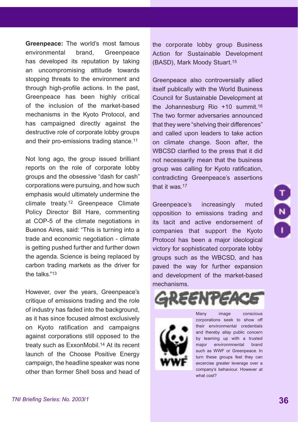**Greenpeace:** The world's most famous environmental brand, Greenpeace has developed its reputation by taking an uncompromising attitude towards stopping threats to the environment and through high-profile actions. In the past, Greenpeace has been highly critical of the inclusion of the market-based mechanisms in the Kyoto Protocol, and has campaigned directly against the destructive role of corporate lobby groups and their pro-emissions trading stance.11

Not long ago, the group issued brilliant reports on the role of corporate lobby groups and the obsessive "dash for cash" corporations were pursuing, and how such emphasis would ultimately undermine the climate treaty.12 Greenpeace Climate Policy Director Bill Hare, commenting at COP-5 of the climate negotiations in Buenos Aires, said: "This is turning into a trade and economic negotiation - climate is getting pushed further and further down the agenda. Science is being replaced by carbon trading markets as the driver for the talks."13

However, over the years, Greenpeace's critique of emissions trading and the role of industry has faded into the background, as it has since focused almost exclusively on Kyoto ratification and campaigns against corporations still opposed to the treaty such as ExxonMobil.14 At its recent launch of the Choose Positive Energy campaign, the headline speaker was none other than former Shell boss and head of the corporate lobby group Business Action for Sustainable Development (BASD), Mark Moody Stuart.15

Greenpeace also controversially allied itself publically with the World Business Council for Sustainable Development at the Johannesburg Rio +10 summit.16 The two former adversaries announced that they were "shelving their differences" and called upon leaders to take action on climate change. Soon after, the WBCSD clarified to the press that it did not necessarily mean that the business group was calling for Kyoto ratification, contradicting Greenpeace's assertions that it was 17

Greenpeace's increasingly muted opposition to emissions trading and its tacit and active endorsement of companies that support the Kyoto Protocol has been a major ideological victory for sophisticated corporate lobby groups such as the WBCSD, and has paved the way for further expansion and development of the market-based mechanisms.



Many image conscious corporations seek to show off their environmental credentials and thereby allay public concern by teaming up with a trusted major environmnental brand such as WWF or Greenpeace. In turn these groups feel they can excercise greater leverage over a company's behaviour. However at what cost?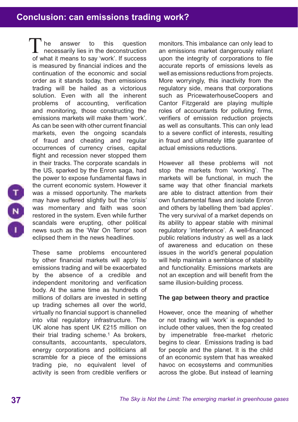## **Conclusion: can emissions trading work?**

he answer to this question necessarily lies in the deconstruction The answer to this question<br>
necessarily lies in the deconstruction<br>
of what it means to say 'work'. If success is measured by financial indices and the continuation of the economic and social order as it stands today, then emissions trading will be hailed as a victorious solution. Even with all the inherent problems of accounting, verification and monitoring, those constructing the emissions markets will make them 'work'. As can be seen with other current financial markets, even the ongoing scandals of fraud and cheating and regular occurrences of currency crises, capital flight and recession never stopped them in their tracks. The corporate scandals in the US, sparked by the Enron saga, had the power to expose fundamental flaws in the current economic system. However it was a missed opportunity. The markets may have suffered slightly but the 'crisis' was momentary and faith was soon restored in the system. Even while further scandals were erupting, other political news such as the 'War On Terror' soon eclipsed them in the news headlines.

These same problems encountered by other financial markets will apply to emissions trading and will be exacerbated by the absence of a credible and independent monitoring and verification body. At the same time as hundreds of millions of dollars are invested in setting up trading schemes all over the world, virtually no financial support is channelled into vital regulatory infrastructure. The UK alone has spent UK £215 million on their trial trading scheme.1 As brokers, consultants, accountants, speculators, energy corporations and politicians all scramble for a piece of the emissions trading pie, no equivalent level of activity is seen from credible verifiers or monitors. This imbalance can only lead to an emissions market dangerously reliant upon the integrity of corporations to file accurate reports of emissions levels as well as emissions reductions from projects. More worryingly, this inactivity from the regulatory side, means that corporations such as PricewaterhouseCoopers and Cantor Fitzgerald are playing multiple roles of accountants for polluting firms, verifiers of emission reduction projects as well as consultants. This can only lead to a severe conflict of interests, resulting in fraud and ultimately little guarantee of actual emissions reductions.

However all these problems will not stop the markets from 'working'. The markets will be functional, in much the same way that other financial markets are able to distract attention from their own fundamental flaws and isolate Enron and others by labelling them 'bad apples'. The very survival of a market depends on its ability to appear stable with minimal regulatory 'interference'. A well-financed public relations industry as well as a lack of awareness and education on these issues in the world's general population will help maintain a semblance of stability and functionality. Emissions markets are not an exception and will benefit from the same illusion-building process.

## **The gap between theory and practice**

However, once the meaning of whether or not trading will 'work' is expanded to include other values, then the fog created by impenetrable free-market rhetoric begins to clear. Emissions trading is bad for people and the planet. It is the child of an economic system that has wreaked havoc on ecosystems and communities across the globe. But instead of learning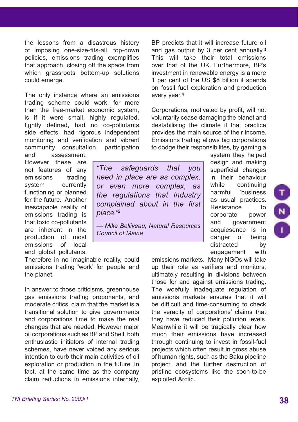the lessons from a disastrous history of imposing one-size-fits-all, top-down policies, emissions trading exemplifies that approach, closing off the space from which grassroots bottom-up solutions could emerge.

The only instance where an emissions trading scheme could work, for more than the free-market economic system, is if it were small, highly regulated, tightly defined, had no co-pollutants side effects, had rigorous independent monitoring and verification and vibrant community consultation, participation and assessment.

BP predicts that it will increase future oil and gas output by 3 per cent annually.<sup>3</sup> This will take their total emissions over that of the UK. Furthermore, BP's investment in renewable energy is a mere 1 per cent of the US \$8 billion it spends on fossil fuel exploration and production every year.4

Corporations, motivated by profit, will not voluntarily cease damaging the planet and destabilising the climate if that practice provides the main source of their income. Emissions trading allows big corporations to dodge their responsibilites, by gaming a

However these are not features of any emissions trading system currently functioning or planned for the future. Another inescapable reality of emissions trading is that toxic co-pollutants are inherent in the production of most emissions of local and global pollutants.

Therefore in no imaginable reality, could emissions trading 'work' for people and the planet.

In answer to those criticisms, greenhouse gas emissions trading proponents, and moderate critics, claim that the market is a transitional solution to give governments and corporations time to make the real changes that are needed. However major oil corporations such as BP and Shell, both enthusiastic initiators of internal trading schemes, have never voiced any serious intention to curb their main activities of oil exploration or production in the future. In fact, at the same time as the company claim reductions in emissions internally,

*"The safeguards that you need in place are as complex, or even more complex, as the regulations that industry complained about in the first place."2*

*— Mike Belliveau, Natural Resources Council of Maine*

system they helped design and making superficial changes in their behaviour while continuing harmful 'business as usual' practices. Resistance to corporate power and government acquiesence is in danger of being distracted by engagement with

emissions markets. Many NGOs will take up their role as verifiers and monitors, ultimately resulting in divisions between those for and against emissions trading. The woefully inadequate regulation of emissions markets ensures that it will be difficult and time-consuming to check the veracity of corporations' claims that they have reduced their pollution levels. Meanwhile it will be tragically clear how much their emissions have increased through continuing to invest in fossil-fuel projects which often result in gross abuse of human rights, such as the Baku pipeline project, and the further destruction of pristine ecosystems like the soon-to-be exploited Arctic.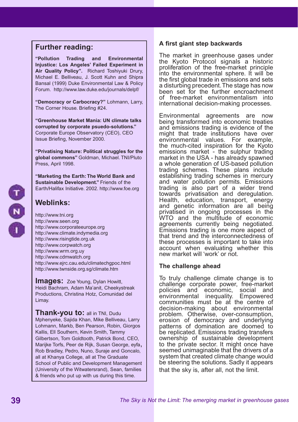## **Further reading:**

**"Pollution Trading and Environmental Injustice: Los Angeles' Failed Experiment in Air Quality Policy".** Richard Toshiyuki Drury, Michael E. Belliveau, J. Scott Kuhn and Shipra Bansal (1999) Duke Environmental Law & Policy Forum. http://www.law.duke.edu/journals/delpf/

**"Democracy or Carbocracy?"** Lohmann, Larry, The Corner House. Briefing #24.

**"Greenhouse Market Mania: UN climate talks corrupted by corporate psuedo-solutions."**  Corporate Europe Observatory (CEO), CEO Issue Briefing, November 2000.

**"Privatising Nature: Political struggles for the global commons"** Goldman, Michael. TNI/Pluto Press, April 1998.

**"Marketing the Earth: The World Bank and Sustainable Development."** Friends of the Earth/Halifax Initiative. 2002. http://www.foe.org

## **Weblinks:**

http://www.tni.org http://www.seen.org http://www.corporateeurope.org http://www.climate.indymedia.org http://www.risingtide.org.uk http://www.corpwatch.org http://www.wrm.org.uy http://www.cdmwatch.org http://www.ejrc.cau.edu/climatechgpoc.html http://www.twnside.org.sg/climate.htm

**Images:** Zoe Young, Dylan Howitt, Heidi Bachram, Adam Ma'anit, Cheekystreak Productions, Christina Hotz, Comunidad del Limay.

**Thank-you to:** all in TNI, Dudu

Mphenyeke, Sajida Khan, Mike Belliveau, Larry Lohmann, Markb, Ben Pearson, Robin, Giorgos Kallis, Ell Southern, Kevin Smith, Tammy Gilbertson, Tom Goldtooth, Patrick Bond, CEO, Marijke Torfs, Peer de Rijk, Susan George, eyfa, Rob Bradley, Pedro, Nuno, Suraje and Goncalo, all at Khanya College, all at The Graduate School of Public and Development Management (University of the Witwatersrand), Sean, families & friends who put up with us during this time.

## **A first giant step backwards**

The market in greenhouse gases under the Kyoto Protocol signals a historic proliferation of the free-market principle into the environmental sphere. It will be the first global trade in emissions and sets a disturbing precedent. The stage has now been set for the further encroachment of free-market environmentalism into international decision-making processes.

Environmental agreements are now being transformed into economic treaties and emissions trading is evidence of the might that trade institutions have over environmental values. For example, the much-cited inspiration for the Kyoto emissions market - the sulphur trading market in the USA - has already spawned a whole generation of US-based pollution trading schemes. These plans include establishing trading schemes in mercury and water pollution permits. Emissions trading is also part of a wider trend towards privatisation and deregulation. Health, education, transport, energy and genetic information are all being privatised in ongoing processes in the WTO and the multitude of economic agreements currently being negotiated. Emissions trading is one more aspect of that trend and the interconnectedness of these processes is important to take into account when evaluating whether this new market will 'work' or not.

## **The challenge ahead**

To truly challenge climate change is to challenge corporate power, free-market policies and economic, social and environmental inequality. Empowered communities must be at the centre of decision-making about environmental problem. Otherwise, over-consumption, erosion of democracy and underlying patterns of domination are doomed to be replicated. Emissions trading transfers ownership of sustainable development to the private sector. It might once have seemed unimaginable that the drivers of a system that created climate change would be steering the solutions. Sadly it appears that the sky is, after all, not the limit.

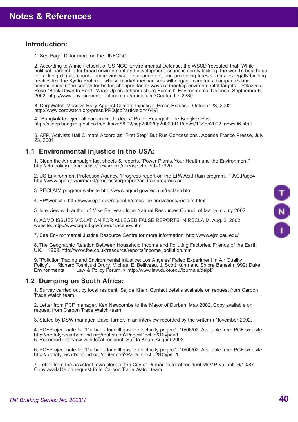## **Introduction:**

1. See Page 10 for more on the UNFCCC.

2. According to Annie Petsonk of US NGO Environmental Defense, the WSSD 'revealed' that "While political leadership for broad environment and development issues is sorely lacking, the world's best hope for tackling climate change, improving water management, and protecting forests, remains legally binding treaties like the Kyoto Protocol, whose market mechanisms will engage countries, companies and communities in the search for better, cheaper, faster ways of meeting environmental targets." Palazzolo, Rose. 'Back Down to Earth: Wrap-Up on Johannesburg Summit'. Environmental Defense, September 6, 2002, http://www.environmentaldefense.org/article.cfm?ContentID=2289

3. CorpWatch.'Massive Rally Against Climate Injustice'. Press Release, October 28, 2002. http://www.corpwatch.org/press/PPD.jsp?articleid=4649]

4. "Bangkok to reject all carbon-credit deals." Pradit Ruangdit. The Bangkok Post. http://scoop.bangkokpost.co.th/bkkpost/2002/sep2002/bp20020911/news/11Sep2002\_news06.html

5. AFP. 'Activists Hail Climate Accord as "First Step" But Rue Concessions'. Agence France Presse, July 23, 2001

## **1.1 Environmental injustice in the USA:**

1. Clean the Air campaign fact sheets & reports. "Power Plants, Your Health and the Environment." http://cta.policy.net/proactive/newsroom/release.vtml?id=17320

2. US Environment Protection Agency. "Progress report on the EPA Acid Rain program." 1999,Page4. http://www.epa.gov/airmarkt/progress/arpreport/acidrainprogress.pdf

3. RECLAIM program website http://www.aqmd.gov/reclaim/reclaim.html

4. EPAwebsite: http://www.epa.gov/region09/cross\_pr/innovations/reclaim.html

5. Interview with author of Mike Belliveau from Natural Resources Council of Maine in July 2002.

6. AQMD ISSUES VIOLATION FOR ALLEGED FALSE REPORTS IN RECLAIM. Aug. 2, 2002. website: http://www.aqmd.gov/news1/acenov.htm

7. See Environmental Justice Resource Centre for more information: http://www.ejrc.cau.edu/

8. The Geographic Relation Between Household Income and Polluting Factories. Friends of the Earth UK. 1999. http://www.foe.co.uk/resource/reports/income\_pollution.html

9. "Pollution Trading and Environmental Injustice: Los Angeles' Failed Experiment in Air Quality Policy". Richard Toshiyuki Drury, Michael E. Belliveau, J. Scott Kuhn and Shipra Bansal (1999) Duke<br>Environmental Law & Policy Forum. > http://www.law.duke.edu/iournals/delpf/ Law & Policy Forum. > http://www.law.duke.edu/journals/delpf/

## **1.2 Dumping on South Africa:**

1. Survey carried out by local resident, Sajida Khan. Contact details available on request from Carbon Trade Watch team.

2. Letter from PCF manager, Ken Newcombe to the Mayor of Durban. May 2002. Copy available on request from Carbon Trade Watch team.

3. Stated by DSW manager, Dave Turner, in an interview recorded by the writer in November 2002.

4. PCFProject note for "Durban - landfill gas to electricity project". 10/06/02. Available from PCF website: http://prototypecarbonfund.org/router.cfm?Page=DocLib&Dtype=1 5. Recorded interview with local resident, Sajida Khan. August 2002.

6. PCFProject note for "Durban - landfill gas to electricity project". 10/06/02. Available from PCF website: http://prototypecarbonfund.org/router.cfm?Page=DocLib&Dtype=1

7. Letter from the assistant town clerk of the City of Durban to local resident Mr V.P. Vallabh. 6/10/87. Copy available on request from Carbon Trade Watch team.

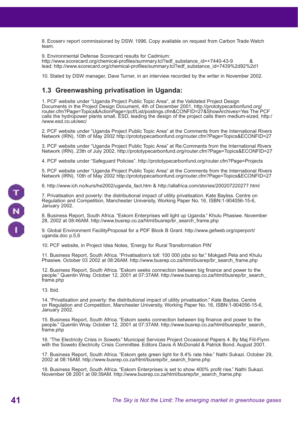8. Ecoserv report commissioned by DSW. 1996. Copy available on request from Carbon Trade Watch team.

9. Environmental Defense Scorecard results for Cadmium: http://www.scorecard.org/chemical-profiles/summary.tcl?edf\_substance\_id=+7440-43-9 & lead: http://www.scorecard.org/chemical-profiles/summary.tcl?edf\_substance\_id=7439%2d92%2d1

10. Stated by DSW manager, Dave Turner, in an interview recorded by the writer in November 2002.

## **1.3 Greenwashing privatisation in Uganda:**

1. PCF website under "Uganda Project Public Topic Area", at the Validated Project Design Documents in the Project Design Document, 4th of December 2001, http://prototypecarbonfund.org/ router.cfm?Page=Topics&ActionPage=/pcf/List/postings.cfm&CONFID=27&ShowArchives=Yes The PCF calls the hydropower plants small, ESD, leading the design of the project calls them medium-sized, http:/ /www.esd.co.uk/eec/

2. PCF website under "Uganda Project Public Topic Area" at the Comments from the International Rivers Network (IRN), 10th of May 2002 http://prototypecarbonfund.org/router.cfm?Page=Topics&ECONFID=27

3. PCF website under "Uganda Project Public Topic Area" at Re:Comments from the International Rivers Network (IRN), 23th of July 2002, http://prototypecarbonfund.org/router.cfm?Page=Topics&ECONFID=27

4. PCF website under "Safeguard Policies". http://prototypecarbonfund.org/router.cfm?Page=Projects

5. PCF website under "Uganda Project Public Topic Area" at the Comments from the International Rivers Network (IRN), 10th of May 2002 http://prototypecarbonfund.org/router.cfm?Page=Topics&ECONFID=27

6. http://www.ich.no/kurs/he2002/uganda\_fact.htm & http://allafrica.com/stories/200207220277.html

7. Privatisation and poverty: the distributional impact of utility privatisation. Kate Bayliss. Centre on Regulation and Competition, Manchester University, Working Paper No. 16, ISBN:1-904056-15-6, January 2002.

8. Business Report, South Africa. "Eskom Enterprises will light up Uganda." Khulu Phasiwe. November 28, 2002 at 08:46AM. http://www.busrep.co.za/html/busrep/br\_search\_frame.php

9. Global Environment FacilityProposal for a PDF Block B Grant. http://www.gefweb.org/operport/ uganda.doc p.5,6

10. PCF website, in Project Idea Notes, 'Energy for Rural Transformation PIN'

11. Business Report, South Africa. "Privatisation's toll: 100 000 jobs so far." Mokgadi Pela and Khulu Phasiwe. October 03 2002 at 08:26AM. http://www.busrep.co.za/html/busrep/br\_search\_frame.php

12. Business Report, South Africa. "Eskom seeks connection between big finance and power to the people." Quentin Wray. October 12, 2001 at 07:37AM. http://www.busrep.co.za/html/busrep/br\_search\_ frame.php

13. Ibid.

14. "Privatisation and poverty: the distributional impact of utility privatisation." Kate Bayliss. Centre on Regulation and Competition, Manchester University, Working Paper No. 16, ISBN:1-904056-15-6, January 2002.

15. Business Report, South Africa. "Eskom seeks connection between big finance and power to the people." Quentin Wray. October 12, 2001 at 07:37AM. http://www.busrep.co.za/html/busrep/br\_search\_ frame.php

16. "The Electricity Crisis in Soweto." Municipal Services Project Occasional Papers 4. By Maj Fiil-Flynn with the Soweto Electricity Crisis Committee. Editors Davis A McDonald & Patrick Bond. August 2001.

17. Business Report, South Africa. "Eskom gets green light for 8.4% rate hike." Nathi Sukazi. October 29, 2002 at 08:16AM. http://www.busrep.co.za/html/busrep/br\_search\_frame.php

18. Business Report, South Africa. "Eskom Enterprises is set to show 400% profit rise." Nathi Sukazi. November 08 2001 at 09:39AM. http://www.busrep.co.za/html/busrep/br\_search\_frame.php

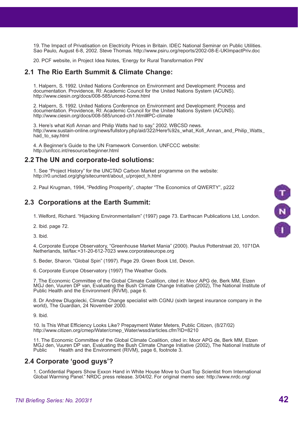19. The Impact of Privatisation on Electricity Prices in Britain. IDEC National Seminar on Public Utilities. Sao Paulo, August 6-8, 2002. Steve Thomas. http://www.psiru.org/reports/2002-08-E-UKImpactPriv.doc

20. PCF website, in Project Idea Notes, 'Energy for Rural Transformation PIN'

## **2.1 The Rio Earth Summit & Climate Change:**

1. Halpern, S. 1992. United Nations Conference on Environment and Development: Process and documentation. Providence, RI: Academic Council for the United Nations System (ACUNS). http://www.ciesin.org/docs/008-585/unced-home.html

2. Halpern, S. 1992. United Nations Conference on Environment and Development: Process and documentation. Providence, RI: Academic Council for the United Nations System (ACUNS). http://www.ciesin.org/docs/008-585/unced-ch1.html#PC-climate

3. Here's what Kofi Annan and Philip Watts had to say." 2002. WBCSD news. http://www.sustain-online.org/news/fullstory.php/aid/322/Here%92s\_what\_Kofi\_Annan\_and\_Philip\_Watts\_ had to say.html

4. A Beginner's Guide to the UN Framework Convention. UNFCCC website: http://unfccc.int/resource/beginner.html

#### **2.2 The UN and corporate-led solutions:**

1. See "Project History" for the UNCTAD Carbon Market programme on the website: http://r0.unctad.org/ghg/sitecurrent/about\_u/project\_h.html

2. Paul Krugman, 1994, "Peddling Prosperity", chapter "The Economics of QWERTY", p222

## **2.3 Corporations at the Earth Summit:**

1. Welford, Richard. "Hijacking Environmentalism" (1997) page 73. Earthscan Publications Ltd, London.

2. Ibid. page 72.

3. Ibid.

4. Corporate Europe Observatory, "Greenhouse Market Mania" (2000). Paulus Potterstraat 20, 1071DA Netherlands, tel/fax:+31-20-612-7023 www.corporateeurope.org

5. Beder, Sharon. "Global Spin" (1997). Page 29. Green Book Ltd, Devon.

6. Corporate Europe Observatory (1997) The Weather Gods.

7. The Economic Committee of the Global Climate Coalition, cited in: Moor APG de, Berk MM, Elzen MGJ den, Vuuren DP van, Evaluating the Bush Climate Change Initiative (2002), The National Institute of Public Health and the Environment (RIVM), page 6.

8. Dr Andrew Dlugolecki, Climate Change specialist with CGNU (sixth largest insurance company in the world), The Guardian, 24 November 2000.

9. Ibid.

10. Is This What Efficiency Looks Like? Prepayment Water Meters, Public Citizen, (8/27/02) http://www.citizen.org/cmep/Water/cmep\_Water/wssd/articles.cfm?ID=8210

11. The Economic Committee of the Global Climate Coalition, cited in: Moor APG de, Berk MM, Elzen MGJ den, Vuuren DP van, Evaluating the Bush Climate Change Initiative (2002), The National Institute of Public<br>Public Health and the Environment (RIVM), page 6, footnote 3, Health and the Environment (RIVM), page 6, footnote 3.

## **2.4 Corporate 'good guys'?**

1. Confidential Papers Show Exxon Hand in White House Move to Oust Top Scientist from International Global Warming Panel." NRDC press release. 3/04/02. For original memo see: http://www.nrdc.org/

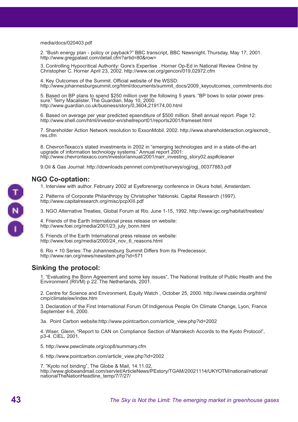media/docs/020403.pdf

2. "Bush energy plan - policy or payback?" BBC transcript, BBC Newsnight. Thursday, May 17, 2001. http://www.gregpalast.com/detail.cfm?artid=80&row=

3. Controlling Hypocritical Authority: Gore's Expertise . Horner Op-Ed in National Review Online by Christopher C. Horner April 23, 2002. http://www.cei.org/gencon/019,02972.cfm

4. Key Outcomes of the Summit. Official website of the WSSD: http://www.johannesburgsummit.org/html/documents/summit\_docs/2009\_keyoutcomes\_commitments.doc

5. Based on BP plans to spend \$250 million over the following 5 years. "BP bows to solar power pressure." Terry Macalister. The Guardian. May 10, 2000. http://www.guardian.co.uk/business/story/0,3604,219174,00.html

6. Based on average per year predicted epxenditure of \$500 million. Shell annual report. Page 12: http://www.shell.com/html/investor-en/shellreport01/reports2001/frameset.html

7. Shareholder Action Network resolution to ExxonMobil. 2002. http://www.shareholderaction.org/exmob\_ res.cfm

8. ChevronTexaco's stated investments in 2002 in "emerging technologies and in a state-of-the-art upgrade of information technology systems." Annual report 2001: http://www.chevrontexaco.com/investor/annual/2001/narr\_investing\_story02.asp#cleaner

9.Oil & Gas Journal: http://downloads.pennnet.com/pnet/surveys/ogj/ogj\_00377883.pdf

## **NGO Co-optation:**

1. Interview with author. February 2002 at Eyeforenergy conference in Okura hotel, Amsterdam.

2. Patterns of Corporate Philanthropy by Christopher Yablonski. Capital Research (1997). http://www.capitalresearch.org/misc/pcpXIII.pdf

3. NGO Alternative Treaties, Global Forum at Rio. June 1-15, 1992. http://www.igc.org/habitat/treaties/

4. Friends of the Earth International press release on website: http://www.foei.org/media/2001/23\_july\_bonn.html

5. Friends of the Earth International press release on website: http://www.foei.org/media/2000/24\_nov\_6\_reasons.html

6. Rio + 10 Series: The Johannesburg Summit Differs from its Predecessor, http://www.ran.org/news/newsitem.php?id=571

## **Sinking the protocol:**

1. "Evaluating the Bonn Agreement and some key issues", The National Institute of Public Health and the Environment (RIVM) p 22. The Netherlands, 2001.

2. Centre for Science and Environment, Equity Watch , October 25, 2000. http://www.cseindia.org/html/ cmp/climate/ew/index.htm

3. Declaration of the First International Forum Of Indigenous People On Climate Change, Lyon, France September 4-6, 2000.

3a. Point Carbon website:http://www.pointcarbon.com/article\_view.php?id=2002

4. Wiser, Glenn, "Report to CAN on Compliance Section of Marrakech Accords to the Kyoto Protocol", p3-4. CIEL, 2001.

5. http://www.pewclimate.org/cop8/summary.cfm

6. http://www.pointcarbon.com/article\_view.php?id=2002

7. "Kyoto not binding", The Globe & Mail, 14.11.02, http://www.globeandmail.com/servlet/ArticleNews/PEstory/TGAM/20021114/UKYOTM/national/national/ nationalTheNationHeadline\_temp/7/7/27/

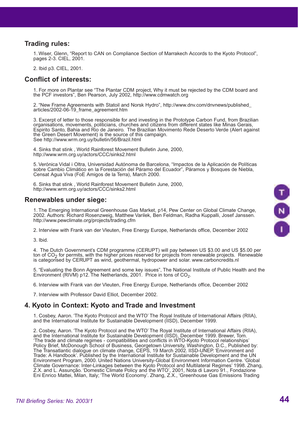## **Trading rules:**

1. Wiser, Glenn, "Report to CAN on Compliance Section of Marrakech Accords to the Kyoto Protocol", pages 2-3. CIEL, 2001.

2. Ibid p3. CIEL, 2001.

#### **Conflict of interests:**

1. For more on Plantar see "The Plantar CDM project, Why it must be rejected by the CDM board and the PCF investors", Ben Pearson, July 2002, http://www.cdmwatch.org

2. "New Frame Agreements with Statoil and Norsk Hydro", http://www.dnv.com/dnvnews/published\_ articles/2002-06-19\_frame\_agreement.htm

3. Excerpt of letter to those responsible for and investing in the Prototype Carbon Fund, from Brazilian organisations, movements, politicians, churches and citizens from different states like Minas Gerais, Espirito Santo, Bahia and Rio de Janeiro. The Brazilian Movimento Rede Deserto Verde (Alert against the Green Desert Movement) is the source of this campaign. See http://www.wrm.org.uy/bulletin/56/Brazil.html

4. Sinks that stink , World Rainforest Movement Bulletin June, 2000, http://www.wrm.org.uy/actors/CCC/sinks2.html

5. Verónica Vidal i Oltra, Universidad Autónoma de Barcelona, "Impactos de la Aplicación de Políticas sobre Cambio Climático en la Forestación del Páramo del Ecuador", Páramos y Bosques de Niebla, Censat Agua Viva (FoE Amigos de la Terra), March 2000.

6. Sinks that stink , World Rainforest Movement Bulletin June, 2000, http://www.wrm.org.uy/actors/CCC/sinks2.html

#### **Renewables under siege:**

1. The Emerging International Greenhouse Gas Market, p14, Pew Center on Global Climate Change, 2002. Authors: Richard Rosenzweig, Matthew Varilek, Ben Feldman, Radha Kuppalli, Josef Janssen. http://www.pewclimate.org/projects/trading.cfm

2. Interview with Frank van der Vleuten, Free Energy Europe, Netherlands office, December 2002

3. Ibid.

4. The Dutch Government's CDM programme (CERUPT) will pay between US \$3.00 and US \$5.00 per ton of  $CO_2$  for permits, with the higher prices reserved for projects from renewable projects. Renewable is categorised by CERUPT as wind, geothermal, hydropower and solar. www.carboncredits.nl

5. "Evaluating the Bonn Agreement and some key issues", The National Institute of Public Health and the Environment (RIVM) p12. The Netherlands, 2001. Price in tons of  $CO<sub>2</sub>$ .

6. Interview with Frank van der Vleuten, Free Energy Europe, Netherlands office, December 2002

7. Interview with Professor David Elliot, December 2002.

## **4. Kyoto in Context: Kyoto and Trade and Investment**

1. Cosbey, Aaron. 'The Kyoto Protocol and the WTO' The Royal Institute of International Affairs (RIIA), and the International Institute for Sustainable Development (IISD), December 1999.

2. Cosbey, Aaron. 'The Kyoto Protocol and the WTO' The Royal Institute of International Affairs (RIIA), and the International Institute for Sustainable Development (IISD), December 1999. Brewer, Tom. 'The trade and climate regimes - compatibilities and conflicts in WTO-Kyoto Protocol relationships' Policy Brief, McDonough School of Business, Georgetown University, Washington, D.C., Published by: The Transatlantic dialogue on climate change, CEPS, 19 March 2002. IISD-UNEP. 'Environment and Trade: A Handbook'. Published by the International Institute for Sustainable Development and the UN Environment Program, 2000. United Nations University-Global Environment Information Centre. 'Global Climate Governance: Inter-Linkages between the Kyoto Protocol and Multilateral Regimes' 1998. Zhang, Z.X. and L. Assunção. 'Domestic Climate Policy and the WTO', 2001, Nota di Lavoro 91., Fondazione Eni Enrico Mattei, Milan, Italy; 'The World Economy'. Zhang, Z.X., 'Greenhouse Gas Emissions Trading

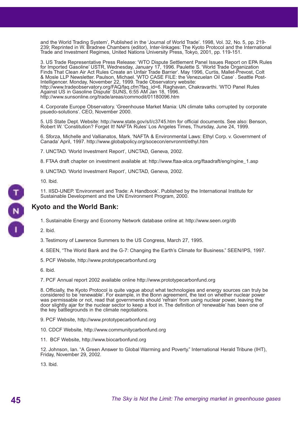and the World Trading System', Published in the 'Journal of World Trade'. 1998, Vol. 32, No. 5, pp. 219- 239; Reprinted in W. Bradnee Chambers (editor), Inter-linkages: The Kyoto Protocol and the International Trade and Investment Regimes, United Nations University Press, Tokyo, 2001, pp. 119-151.

3. US Trade Representative Press Release: 'WTO Dispute Settlement Panel Issues Report on EPA Rules for Imported Gasoline' USTR, Wednesday, January 17, 1996. Paulette S. 'World Trade Organization Finds That Clean Air Act Rules Create an Unfair Trade Barrier'. May 1996, Curtis, Mallet-Prevost, Colt & Mosle LLP Newsletter. Paulson, Michael. 'WTO CASE FILE: the Venezuelan Oil Case' . Seattle Post-Intelligencer. Monday, November 22, 1999. Trade Observatory website: http://www.tradeobservatory.org/FAQ/faq.cfm?faq\_id=6. Raghavan, Chakravarthi. 'WTO Panel Rules

Against US in Gasoline Dispute' SUNS, 6:55 AM Jan 18, 1996. http://www.sunsonline.org/trade/areas/commodit/01180096.htm

4. Corporate Europe Observatory. 'Greenhouse Market Mania: UN climate talks corrupted by corporate psuedo-solutions'. CEO, November 2000.

5. US State Dept. Website: http://www.state.gov/s/l/c3745.htm for official documents. See also: Benson, Robert W. 'Constitution? Forget It! NAFTA Rules' Los Angeles Times, Thursday, June 24, 1999.

6. Sforza, Michelle and Vallianatos, Mark. 'NAFTA & Environmental Laws: Ethyl Corp. v. Government of Canada' April, 1997. http://www.globalpolicy.org/socecon/envronmt/ethyl.htm

7. UNCTAD. 'World Investment Report', UNCTAD, Geneva, 2002.

8. FTAA draft chapter on investment available at: http://www.ftaa-alca.org/ftaadraft/eng/ngine\_1.asp

9. UNCTAD. 'World Investment Report', UNCTAD, Geneva, 2002.

10. Ibid.

11. IISD-UNEP. 'Environment and Trade: A Handbook'. Published by the International Institute for Sustainable Development and the UN Environment Program, 2000.



## **Kyoto and the World Bank:**

1. Sustainable Energy and Economy Network database online at: http://www.seen.org/db

2. Ibid.

3. Testimony of Lawrence Summers to the US Congress, March 27, 1995.

4. SEEN, "The World Bank and the G-7: Changing the Earth's Climate for Business." SEEN/IPS, 1997.

- 5. PCF Website, http://www.prototypecarbonfund.org
- 6. Ibid.

7. PCF Annual report 2002 available online http://www.prototypecarbonfund.org

8. Officially, the Kyoto Protocol is quite vague about what technologies and energy sources can truly be considered to be 'renewable'. For example, in the Bonn agreement, the text on whether nuclear power was permissable or not, read that governments should 'refrain' from using nuclear power, leaving the door slightly ajar for the nuclear sector to keep a foot in. The definition of 'renewable' has been one of the key battlegrounds in the climate negotiations.

9. PCF Website, http://www.prototypecarbonfund.org

10. CDCF Website, http://www.communitycarbonfund.org

11. BCF Website, http://www.biocarbonfund.org

12. Johnson, Ian. "A Green Answer to Global Warming and Poverty." International Herald Tribune (IHT), Friday, November 29, 2002.

13. Ibid.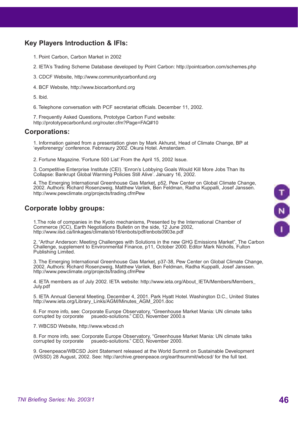## **Key Players Introduction & IFIs:**

- 1. Point Carbon, Carbon Market in 2002
- 2. IETA's Trading Scheme Database developed by Point Carbon: http://pointcarbon.com/schemes.php
- 3. CDCF Website, http://www.communitycarbonfund.org
- 4. BCF Website, http://www.biocarbonfund.org
- 5. Ibid.
- 6. Telephone conversation with PCF secretariat officials. December 11, 2002.

7. Frequently Asked Questions, Prototype Carbon Fund website: http://prototypecarbonfund.org/router.cfm?Page=FAQ#10

## **Corporations:**

1. Information gained from a presentation given by Mark Akhurst, Head of Climate Change, BP at 'eyeforenergy' conference. Febnraury 2002. Okura Hotel. Amsterdam.

2. Fortune Magazine. 'Fortune 500 List' From the April 15, 2002 Issue.

3. Competitive Enterprise Institute (CEI). 'Enron's Lobbying Goals Would Kill More Jobs Than Its Collapse: Bankrupt Global Warming Policies Still Alive'. January 16, 2002.

4. The Emerging International Greenhouse Gas Market, p52, Pew Center on Global Climate Change, 2002. Authors: Richard Rosenzweig, Matthew Varilek, Ben Feldman, Radha Kuppalli, Josef Janssen. http://www.pewclimate.org/projects/trading.cfmPew

## **Corporate lobby groups:**

1.The role of companies in the Kyoto mechanisms, Presented by the International Chamber of Commerce (ICC), Earth Negotiations Bulletin on the side, 12 June 2002, http://www.iisd.ca/linkages/climate/sb16/enbots/pdf/enbots0903e.pdf

2. "Arthur Anderson: Meeting Challenges with Solutions in the new GHG Emissions Market", The Carbon Challenge, supplement to Environmental Finance, p11, October 2000. Editor Mark Nicholls, Fulton Publishing Limited.

3. The Emerging International Greenhouse Gas Market, p37-38, Pew Center on Global Climate Change, 2002. Authors: Richard Rosenzweig, Matthew Varilek, Ben Feldman, Radha Kuppalli, Josef Janssen. http://www.pewclimate.org/projects/trading.cfmPew

4. IETA members as of July 2002. IETA website: http://www.ieta.org/About\_IETA/Members/Members\_ July.pdf

5. IETA Annual General Meeting. December 4, 2001. Park Hyatt Hotel. Washington D.C., United States http://www.ieta.org/Library\_Links/AGM/Minutes\_AGM\_2001.doc

6. For more info, see: Corporate Europe Observatory, "Greenhouse Market Mania: UN climate talks psuedo-solutions." CEO, November 2000.s

7. WBCSD Website, http://www.wbcsd.ch

8. For more info, see: Corporate Europe Observatory, "Greenhouse Market Mania: UN climate talks corrupted by corporate psuedo-solutions." CEO, November 2000. psuedo-solutions." CEO, November 2000.

9. Greenpeace/WBCSD Joint Statement released at the World Summit on Sustainable Development (WSSD) 28 August, 2002. See: http://archive.greenpeace.org/earthsummit/wbcsd/ for the full text.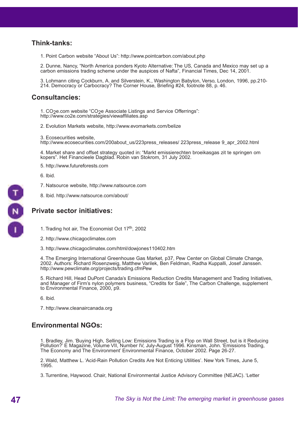## **Think-tanks:**

1. Point Carbon website "About Us": http://www.pointcarbon.com/about.php

2. Dunne, Nancy, "North America ponders Kyoto Alternative: The US, Canada and Mexico may set up a carbon emissions trading scheme under the auspices of Nafta", Financial Times, Dec 14, 2001.

3. Lohmann citing Cockburn, A. and Silverstein, K., Washington Babylon, Verso, London, 1996, pp.210- 214. Democracy or Carbocracy? The Corner House, Briefing #24, footnote 88, p. 46.

## **Consultancies:**

1. CO<sub>2</sub>e.com website "CO<sub>2</sub>e Associate Listings and Service Offerrings": http://www.co2e.com/strategies/viewaffiliates.asp

2. Evolution Markets website, http://www.evomarkets.com/belize

3. Ecosecurities website,

http://www.ecosecurities.com/200about\_us/223press\_releases/ 223press\_release 9\_apr\_2002.html

4. Market share and offset strategy quoted in: "Markt emissierechten broeikasgas zit te springen om kopers". Het Financieele Dagblad. Robin van Stokrom, 31 July 2002.

5. http://www.futureforests.com

6. Ibid.

7. Natsource website, http://www.natsource.com

8. Ibid. http://www.natsource.com/about/

## **Private sector initiatives:**

- 1. Trading hot air, The Economist Oct 17<sup>th</sup>, 2002
- 2. http://www.chicagoclimatex.com
- 3. http://www.chicagoclimatex.com/html/dowjones110402.htm

4. The Emerging International Greenhouse Gas Market, p37, Pew Center on Global Climate Change, 2002. Authors: Richard Rosenzweig, Matthew Varilek, Ben Feldman, Radha Kuppalli, Josef Janssen. http://www.pewclimate.org/projects/trading.cfmPew

5. Richard Hill, Head DuPont Canada's Emissions Reduction Credits Management and Trading Initiatives, and Manager of Firm's nylon polymers business, "Credits for Sale", The Carbon Challenge, supplement to Environmental Finance, 2000, p9.

6. Ibid.

7. http://www.cleanaircanada.org

## **Environmental NGOs:**

1. Bradley, Jim. 'Buying High, Selling Low: Emissions Trading is a Flop on Wall Street, but is it Reducing Pollution?' E Magazine, Volume VII, Number IV, July-August 1996. Kinsman, John. 'Emissions Trading, The Economy and The Environment' Environmental Finance, October 2002. Page 26-27.

2. Wald, Matthew L. 'Acid-Rain Pollution Credits Are Not Enticing Utilities'. New York Times, June 5, 1995.

3. Turrentine, Haywood. Chair, National Environmental Justice Advisory Committee (NEJAC). 'Letter

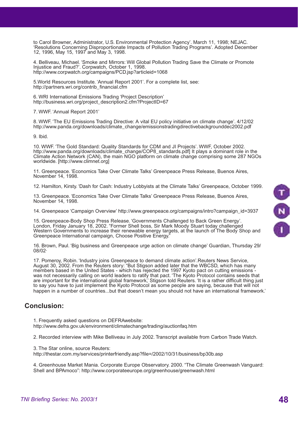to Carol Browner, Administrator, U.S. Environmental Protection Agency'. March 11, 1998; NEJAC. 'Resolutions Concerning Disproportionate Impacts of Pollution Trading Programs'. Adopted December 12, 1996, May 15, 1997 and May 3, 1998.

4. Belliveau, Michael. 'Smoke and Mirrors: Will Global Pollution Trading Save the Climate or Promote Injustice and Fraud?'. Corpwatch, October 1, 1998. http://www.corpwatch.org/campaigns/PCD.jsp?articleid=1068

5.World Resources Institute. 'Annual Report 2001'. For a complete list, see: http://partners.wri.org/contrib\_financial.cfm

6. WRI International Emissions Trading 'Project Description' http://business.wri.org/project\_description2.cfm?ProjectID=67

7. WWF. 'Annual Report 2001'

8. WWF. 'The EU Emissions Trading Directive: A vital EU policy initiative on climate change'. 4/12/02 http://www.panda.org/downloads/climate\_change/emissionstradingdirectivebackgrounddec2002.pdf

9. Ibid.

10. WWF. 'The Gold Standard: Quality Standards for CDM and JI Projects'. WWF, October 2002. http://www.panda.org/downloads/climate\_change/COP8\_standards.pdf] It plays a dominant role in the Climate Action Network (CAN), the main NGO platform on climate change comprising some 287 NGOs worldwide. [http://www.climnet.org]

11. Greenpeace. 'Economics Take Over Climate Talks' Greenpeace Press Release, Buenos Aires, November 14, 1998.

12. Hamilton, Kirsty. 'Dash for Cash: Industry Lobbyists at the Climate Talks' Greenpeace, October 1999.

13. Greenpeace. 'Economics Take Over Climate Talks' Greenpeace Press Release, Buenos Aires, November 14, 1998.

14. Greenpeace 'Campaign Overview' http://www.greenpeace.org/campaigns/intro?campaign\_id=3937

15. Greenpeace-Body Shop Press Release. 'Governments Challenged to Back Green Energy'. London, Friday January 18, 2002. "Former Shell boss, Sir Mark Moody Stuart today challenged Western Governments to increase their renewable energy targets, at the launch of The Body Shop and Greenpeace International campaign, Choose Positive Energy."

16. Brown, Paul. 'Big business and Greenpeace urge action on climate change' Guardian, Thursday 29/ 08/02.

17. Pomeroy, Robin. 'Industry joins Greenpeace to demand climate action'.Reuters News Service, August 30, 2002. From the Reuters story: "But Stigson added later that the WBCSD, which has many members based in the United States - which has rejected the 1997 Kyoto pact on cutting emissions was not necessarily calling on world leaders to ratify that pact. 'The Kyoto Protocol contains seeds that are important for the international global framework,' Stigson told Reuters. 'It is a rather difficult thing just to say you have to just implement the Kyoto Protocol as some people are saying, because that will not happen in a number of countries...but that doesn't mean you should not have an international framework.'

## **Conclusion:**

1. Frequently asked questions on DEFRAwebsite:

http://www.defra.gov.uk/environment/climatechange/trading/auctionfaq.htm

2. Recorded interview with Mike Belliveau in July 2002. Transcript available from Carbon Trade Watch.

3. The Star online, source Reuters:

http://thestar.com.my/services/printerfriendly.asp?file=/2002/10/31/business/bp30b.asp

4. Greenhouse Market Mania. Corporate Europe Observatory. 2000. "The Climate Greenwash Vanguard: Shell and BPAmoco": http://www.corporateeurope.org/greenhouse/greenwash.html